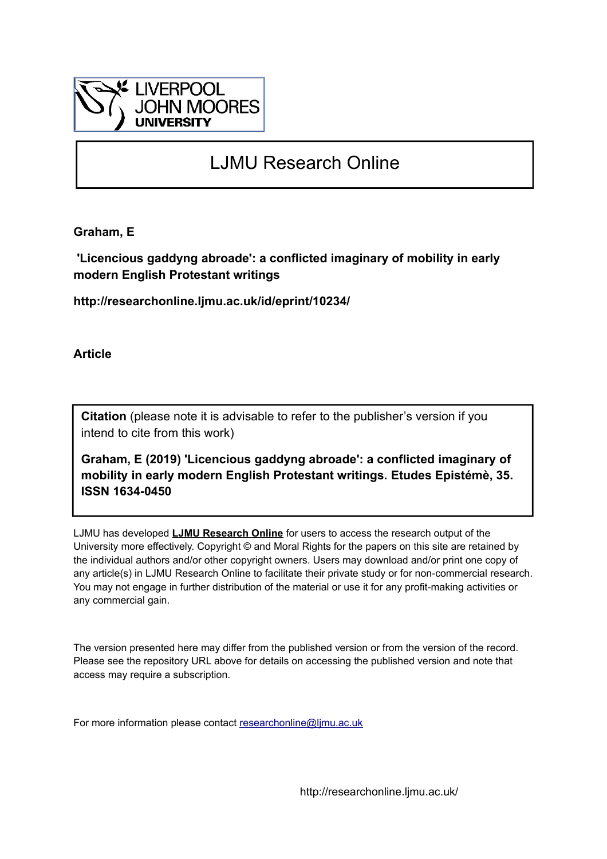

# LJMU Research Online

**Graham, E**

 **'Licencious gaddyng abroade': a conflicted imaginary of mobility in early modern English Protestant writings**

**http://researchonline.ljmu.ac.uk/id/eprint/10234/**

**Article**

**Citation** (please note it is advisable to refer to the publisher's version if you intend to cite from this work)

**Graham, E (2019) 'Licencious gaddyng abroade': a conflicted imaginary of mobility in early modern English Protestant writings. Etudes Epistémè, 35. ISSN 1634-0450** 

LJMU has developed **[LJMU Research Online](http://researchonline.ljmu.ac.uk/)** for users to access the research output of the University more effectively. Copyright © and Moral Rights for the papers on this site are retained by the individual authors and/or other copyright owners. Users may download and/or print one copy of any article(s) in LJMU Research Online to facilitate their private study or for non-commercial research. You may not engage in further distribution of the material or use it for any profit-making activities or any commercial gain.

The version presented here may differ from the published version or from the version of the record. Please see the repository URL above for details on accessing the published version and note that access may require a subscription.

For more information please contact [researchonline@ljmu.ac.uk](mailto:researchonline@ljmu.ac.uk)

http://researchonline.ljmu.ac.uk/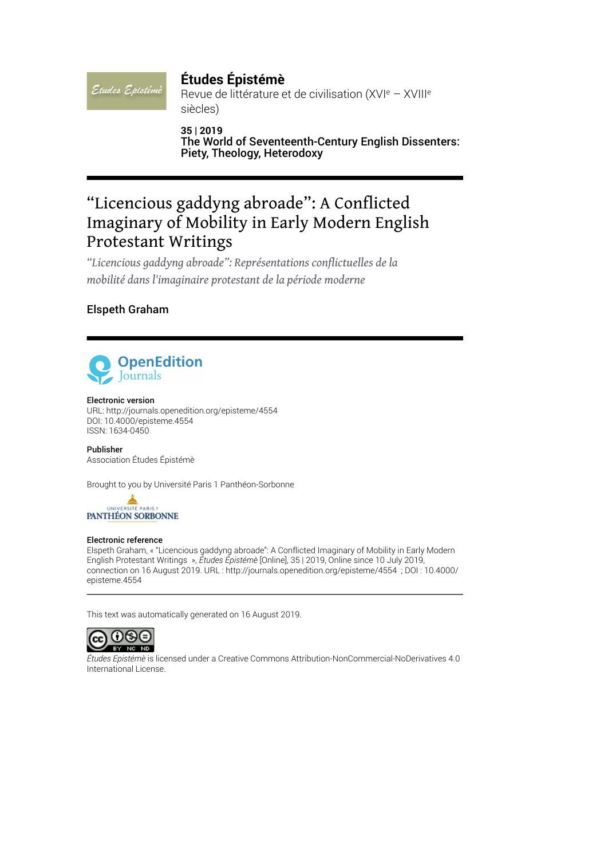# **Études Épistémè**

Revue de littérature et de civilisation (XVIe – XVIIIe siècles)

**35 | 2019** The World of Seventeenth-Century English Dissenters: Piety, Theology, Heterodoxy

# "Licencious gaddyng abroade": A Conflicted Imaginary of Mobility in Early Modern English Protestant Writings

*"Licencious gaddyng abroade": Représentations conflictuelles de la mobilité dans l'imaginaire protestant de la période moderne*

### Elspeth Graham

Etudes Epistémè



#### Electronic version

URL:<http://journals.openedition.org/episteme/4554> DOI: 10.4000/episteme.4554 ISSN: 1634-0450

Publisher Association Études Épistémè

Brought to you by Université Paris 1 Panthéon-Sorbonne

UNIVERSITÉ PARIS PANTHÉON SORBONNE

#### Electronic reference

Elspeth Graham, « "Licencious gaddyng abroade": A Conflicted Imaginary of Mobility in Early Modern English Protestant Writings », *Études Épistémè* [Online], 35 | 2019, Online since 10 July 2019, connection on 16 August 2019. URL : http://journals.openedition.org/episteme/4554 ; DOI : 10.4000/ episteme.4554

This text was automatically generated on 16 August 2019.



*Études Epistémè* is licensed under a [Creative Commons Attribution-NonCommercial-NoDerivatives 4.0](http://creativecommons.org/licenses/by-nc-nd/4.0/) [International License.](http://creativecommons.org/licenses/by-nc-nd/4.0/)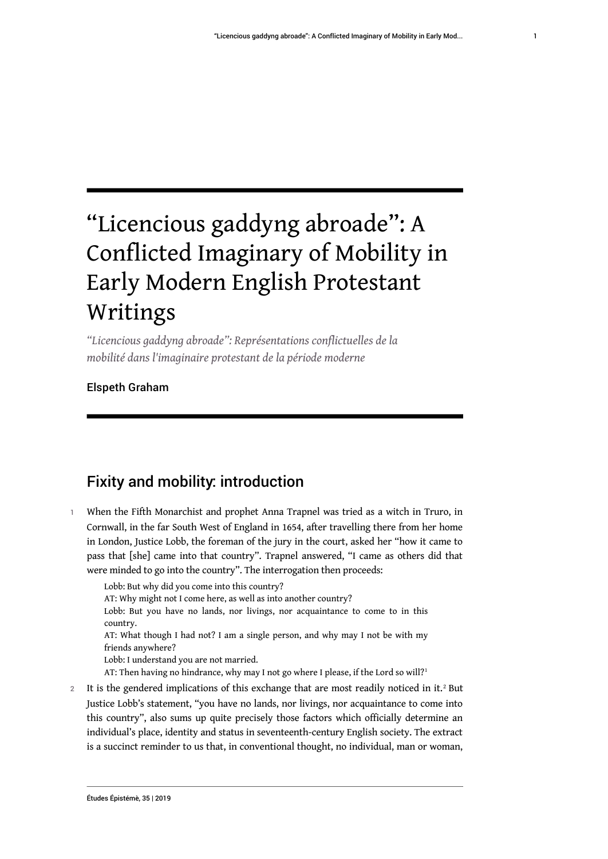1

# "Licencious gaddyng abroade": A Conflicted Imaginary of Mobility in Early Modern English Protestant Writings

*"Licencious gaddyng abroade": Représentations conflictuelles de la mobilité dans l'imaginaire protestant de la période moderne*

# Elspeth Graham

# Fixity and mobility: introduction

1 When the Fifth Monarchist and prophet Anna Trapnel was tried as a witch in Truro, in Cornwall, in the far South West of England in 1654, after travelling there from her home in London, Justice Lobb, the foreman of the jury in the court, asked her "how it came to pass that [she] came into that country". Trapnel answered, "I came as others did that were minded to go into the country". The interrogation then proceeds:

Lobb: But why did you come into this country? AT: Why might not I come here, as well as into another country? Lobb: But you have no lands, nor livings, nor acquaintance to come to in this country. AT: What though I had not? I am a single person, and why may I not be with my friends anywhere? Lobb: I understand you are not married. AT: Then having no hindrance, why may I not go where I please, if the Lord so will?<sup>1</sup>

2 It is the gendered implications of this exchange that are most readily noticed in it.<sup>2</sup> But Justice Lobb's statement, "you have no lands, nor livings, nor acquaintance to come into this country", also sums up quite precisely those factors which officially determine an individual's place, identity and status in seventeenth-century English society. The extract is a succinct reminder to us that, in conventional thought, no individual, man or woman,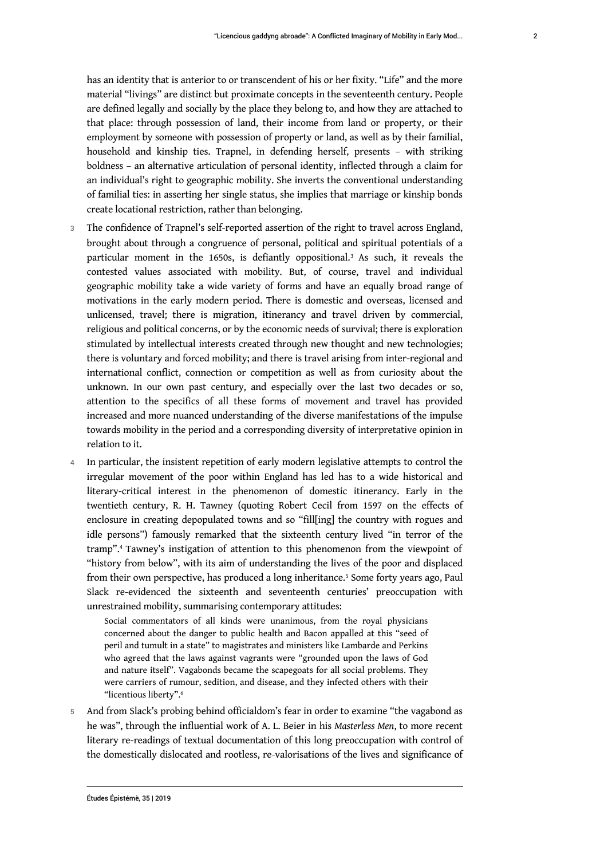has an identity that is anterior to or transcendent of his or her fixity. "Life" and the more material "livings" are distinct but proximate concepts in the seventeenth century. People are defined legally and socially by the place they belong to, and how they are attached to that place: through possession of land, their income from land or property, or their employment by someone with possession of property or land, as well as by their familial, household and kinship ties. Trapnel, in defending herself, presents – with striking boldness – an alternative articulation of personal identity, inflected through a claim for an individual's right to geographic mobility. She inverts the conventional understanding of familial ties: in asserting her single status, she implies that marriage or kinship bonds create locational restriction, rather than belonging.

- 3 The confidence of Trapnel's self-reported assertion of the right to travel across England, brought about through a congruence of personal, political and spiritual potentials of a particular moment in the 1650s, is defiantly oppositional.<sup>3</sup> As such, it reveals the contested values associated with mobility. But, of course, travel and individual geographic mobility take a wide variety of forms and have an equally broad range of motivations in the early modern period. There is domestic and overseas, licensed and unlicensed, travel; there is migration, itinerancy and travel driven by commercial, religious and political concerns, or by the economic needs of survival; there is exploration stimulated by intellectual interests created through new thought and new technologies; there is voluntary and forced mobility; and there is travel arising from inter-regional and international conflict, connection or competition as well as from curiosity about the unknown. In our own past century, and especially over the last two decades or so, attention to the specifics of all these forms of movement and travel has provided increased and more nuanced understanding of the diverse manifestations of the impulse towards mobility in the period and a corresponding diversity of interpretative opinion in relation to it.
- 4 In particular, the insistent repetition of early modern legislative attempts to control the irregular movement of the poor within England has led has to a wide historical and literary-critical interest in the phenomenon of domestic itinerancy. Early in the twentieth century, R. H. Tawney (quoting Robert Cecil from 1597 on the effects of enclosure in creating depopulated towns and so "fill[ing] the country with rogues and idle persons") famously remarked that the sixteenth century lived "in terror of the tramp".<sup>4</sup> Tawney's instigation of attention to this phenomenon from the viewpoint of "history from below", with its aim of understanding the lives of the poor and displaced from their own perspective, has produced a long inheritance.<sup>5</sup> Some forty years ago, Paul Slack re-evidenced the sixteenth and seventeenth centuries' preoccupation with unrestrained mobility, summarising contemporary attitudes:

Social commentators of all kinds were unanimous, from the royal physicians concerned about the danger to public health and Bacon appalled at this "seed of peril and tumult in a state" to magistrates and ministers like Lambarde and Perkins who agreed that the laws against vagrants were "grounded upon the laws of God and nature itself". Vagabonds became the scapegoats for all social problems. They were carriers of rumour, sedition, and disease, and they infected others with their "licentious liberty".<sup>6</sup>

5 And from Slack's probing behind officialdom's fear in order to examine "the vagabond as he was", through the influential work of A. L. Beier in his *Masterless Men*, to more recent literary re-readings of textual documentation of this long preoccupation with control of the domestically dislocated and rootless, re-valorisations of the lives and significance of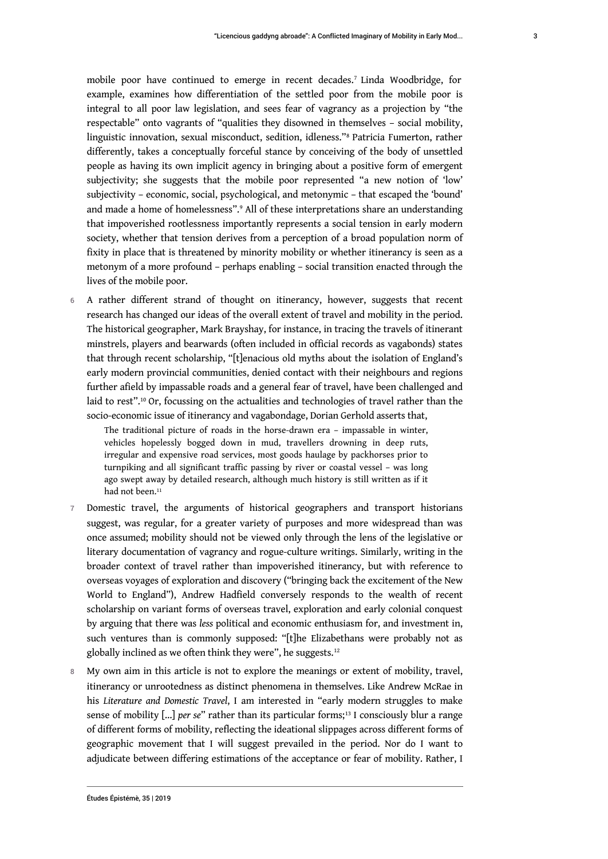mobile poor have continued to emerge in recent decades.<sup>7</sup> Linda Woodbridge, for example, examines how differentiation of the settled poor from the mobile poor is integral to all poor law legislation, and sees fear of vagrancy as a projection by "the respectable" onto vagrants of "qualities they disowned in themselves – social mobility, linguistic innovation, sexual misconduct, sedition, idleness."<sup>8</sup> Patricia Fumerton, rather differently, takes a conceptually forceful stance by conceiving of the body of unsettled people as having its own implicit agency in bringing about a positive form of emergent subjectivity; she suggests that the mobile poor represented "a new notion of 'low' subjectivity – economic, social, psychological, and metonymic – that escaped the 'bound' and made a home of homelessness".<sup>9</sup> All of these interpretations share an understanding that impoverished rootlessness importantly represents a social tension in early modern society, whether that tension derives from a perception of a broad population norm of fixity in place that is threatened by minority mobility or whether itinerancy is seen as a metonym of a more profound – perhaps enabling – social transition enacted through the lives of the mobile poor.

6 A rather different strand of thought on itinerancy, however, suggests that recent research has changed our ideas of the overall extent of travel and mobility in the period. The historical geographer, Mark Brayshay, for instance, in tracing the travels of itinerant minstrels, players and bearwards (often included in official records as vagabonds) states that through recent scholarship, "[t]enacious old myths about the isolation of England's early modern provincial communities, denied contact with their neighbours and regions further afield by impassable roads and a general fear of travel, have been challenged and laid to rest".<sup>10</sup> Or, focussing on the actualities and technologies of travel rather than the socio-economic issue of itinerancy and vagabondage, Dorian Gerhold asserts that,

The traditional picture of roads in the horse-drawn era – impassable in winter, vehicles hopelessly bogged down in mud, travellers drowning in deep ruts, irregular and expensive road services, most goods haulage by packhorses prior to turnpiking and all significant traffic passing by river or coastal vessel – was long ago swept away by detailed research, although much history is still written as if it had not been.<sup>11</sup>

- 7 Domestic travel, the arguments of historical geographers and transport historians suggest, was regular, for a greater variety of purposes and more widespread than was once assumed; mobility should not be viewed only through the lens of the legislative or literary documentation of vagrancy and rogue-culture writings. Similarly, writing in the broader context of travel rather than impoverished itinerancy, but with reference to overseas voyages of exploration and discovery ("bringing back the excitement of the New World to England"), Andrew Hadfield conversely responds to the wealth of recent scholarship on variant forms of overseas travel, exploration and early colonial conquest by arguing that there was *less* political and economic enthusiasm for, and investment in, such ventures than is commonly supposed: "[t]he Elizabethans were probably not as globally inclined as we often think they were", he suggests.<sup>12</sup>
- 8 My own aim in this article is not to explore the meanings or extent of mobility, travel, itinerancy or unrootedness as distinct phenomena in themselves. Like Andrew McRae in his *Literature and Domestic Travel*, I am interested in "early modern struggles to make sense of mobility [...] *per se*" rather than its particular forms;<sup>13</sup> I consciously blur a range of different forms of mobility, reflecting the ideational slippages across different forms of geographic movement that I will suggest prevailed in the period. Nor do I want to adjudicate between differing estimations of the acceptance or fear of mobility. Rather, I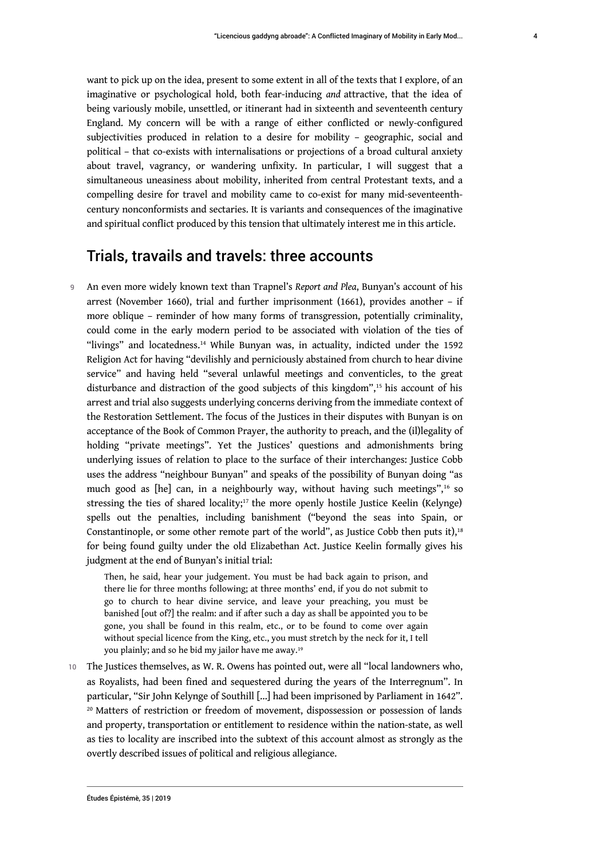4

want to pick up on the idea, present to some extent in all of the texts that I explore, of an imaginative or psychological hold, both fear-inducing *and* attractive, that the idea of being variously mobile, unsettled, or itinerant had in sixteenth and seventeenth century England. My concern will be with a range of either conflicted or newly-configured subjectivities produced in relation to a desire for mobility – geographic, social and political – that co-exists with internalisations or projections of a broad cultural anxiety about travel, vagrancy, or wandering unfixity. In particular, I will suggest that a simultaneous uneasiness about mobility, inherited from central Protestant texts, and a compelling desire for travel and mobility came to co-exist for many mid-seventeenthcentury nonconformists and sectaries. It is variants and consequences of the imaginative and spiritual conflict produced by this tension that ultimately interest me in this article.

# Trials, travails and travels: three accounts

<sup>9</sup>An even more widely known text than Trapnel's *Report and Plea*, Bunyan's account of his arrest (November 1660), trial and further imprisonment (1661), provides another – if more oblique – reminder of how many forms of transgression, potentially criminality, could come in the early modern period to be associated with violation of the ties of "livings" and locatedness.<sup>14</sup> While Bunyan was, in actuality, indicted under the 1592 Religion Act for having "devilishly and perniciously abstained from church to hear divine service" and having held "several unlawful meetings and conventicles, to the great disturbance and distraction of the good subjects of this kingdom",<sup>15</sup> his account of his arrest and trial also suggests underlying concerns deriving from the immediate context of the Restoration Settlement. The focus of the Justices in their disputes with Bunyan is on acceptance of the Book of Common Prayer, the authority to preach, and the (il)legality of holding "private meetings". Yet the Justices' questions and admonishments bring underlying issues of relation to place to the surface of their interchanges: Justice Cobb uses the address "neighbour Bunyan" and speaks of the possibility of Bunyan doing "as much good as [he] can, in a neighbourly way, without having such meetings",<sup>16</sup> so stressing the ties of shared locality;<sup>17</sup> the more openly hostile Justice Keelin (Kelynge) spells out the penalties, including banishment ("beyond the seas into Spain, or Constantinople, or some other remote part of the world", as Justice Cobb then puts it),<sup>18</sup> for being found guilty under the old Elizabethan Act. Justice Keelin formally gives his judgment at the end of Bunyan's initial trial:

Then, he said, hear your judgement. You must be had back again to prison, and there lie for three months following; at three months' end, if you do not submit to go to church to hear divine service, and leave your preaching, you must be banished [out of?] the realm: and if after such a day as shall be appointed you to be gone, you shall be found in this realm, etc., or to be found to come over again without special licence from the King, etc., you must stretch by the neck for it, I tell you plainly; and so he bid my jailor have me away.<sup>19</sup>

10 The Justices themselves, as W. R. Owens has pointed out, were all "local landowners who, as Royalists, had been fined and sequestered during the years of the Interregnum". In particular, "Sir John Kelynge of Southill […] had been imprisoned by Parliament in 1642". <sup>20</sup> Matters of restriction or freedom of movement, dispossession or possession of lands and property, transportation or entitlement to residence within the nation-state, as well as ties to locality are inscribed into the subtext of this account almost as strongly as the overtly described issues of political and religious allegiance.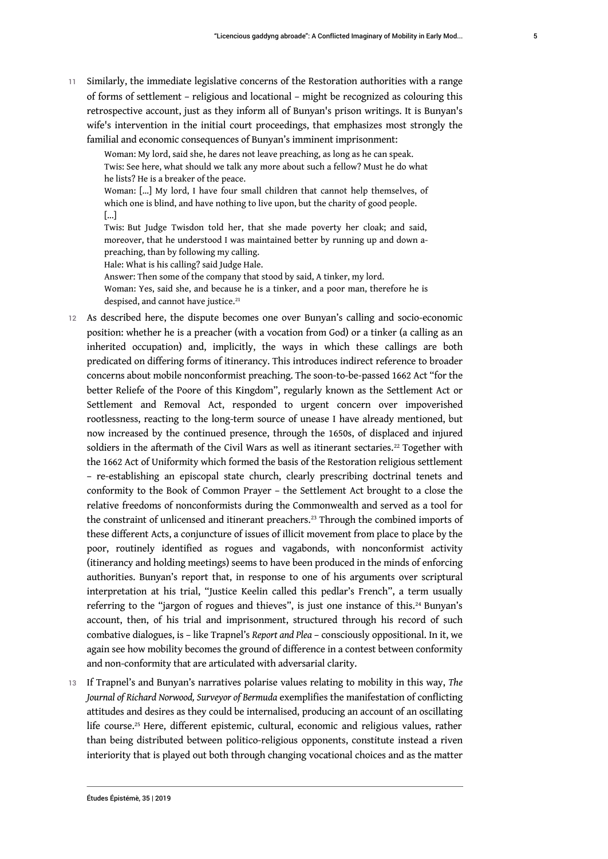11 Similarly, the immediate legislative concerns of the Restoration authorities with a range of forms of settlement – religious and locational – might be recognized as colouring this retrospective account, just as they inform all of Bunyan's prison writings. It is Bunyan's wife's intervention in the initial court proceedings, that emphasizes most strongly the familial and economic consequences of Bunyan's imminent imprisonment:

Woman: My lord, said she, he dares not leave preaching, as long as he can speak. Twis: See here, what should we talk any more about such a fellow? Must he do what he lists? He is a breaker of the peace. Woman: […] My lord, I have four small children that cannot help themselves, of which one is blind, and have nothing to live upon, but the charity of good people. [...]

Twis: But Judge Twisdon told her, that she made poverty her cloak; and said, moreover, that he understood I was maintained better by running up and down apreaching, than by following my calling.

Hale: What is his calling? said Judge Hale.

Answer: Then some of the company that stood by said, A tinker, my lord. Woman: Yes, said she, and because he is a tinker, and a poor man, therefore he is despised, and cannot have justice.<sup>21</sup>

- 12 As described here, the dispute becomes one over Bunyan's calling and socio-economic position: whether he is a preacher (with a vocation from God) or a tinker (a calling as an inherited occupation) and, implicitly, the ways in which these callings are both predicated on differing forms of itinerancy. This introduces indirect reference to broader concerns about mobile nonconformist preaching. The soon-to-be-passed 1662 Act "for the better Reliefe of the Poore of this Kingdom", regularly known as the Settlement Act or Settlement and Removal Act, responded to urgent concern over impoverished rootlessness, reacting to the long-term source of unease I have already mentioned, but now increased by the continued presence, through the 1650s, of displaced and injured soldiers in the aftermath of the Civil Wars as well as itinerant sectaries.<sup>22</sup> Together with the 1662 Act of Uniformity which formed the basis of the Restoration religious settlement – re-establishing an episcopal state church, clearly prescribing doctrinal tenets and conformity to the Book of Common Prayer – the Settlement Act brought to a close the relative freedoms of nonconformists during the Commonwealth and served as a tool for the constraint of unlicensed and itinerant preachers.<sup>23</sup> Through the combined imports of these different Acts, a conjuncture of issues of illicit movement from place to place by the poor, routinely identified as rogues and vagabonds, with nonconformist activity (itinerancy and holding meetings) seems to have been produced in the minds of enforcing authorities. Bunyan's report that, in response to one of his arguments over scriptural interpretation at his trial, "Justice Keelin called this pedlar's French", a term usually referring to the "jargon of rogues and thieves", is just one instance of this.<sup>24</sup> Bunyan's account, then, of his trial and imprisonment, structured through his record of such combative dialogues, is – like Trapnel's *Report and Plea* – consciously oppositional. In it, we again see how mobility becomes the ground of difference in a contest between conformity and non-conformity that are articulated with adversarial clarity.
- <sup>13</sup>If Trapnel's and Bunyan's narratives polarise values relating to mobility in this way, *The Journal of Richard Norwood, Surveyor of Bermuda* exemplifies the manifestation of conflicting attitudes and desires as they could be internalised, producing an account of an oscillating life course.25 Here, different epistemic, cultural, economic and religious values, rather than being distributed between politico-religious opponents, constitute instead a riven interiority that is played out both through changing vocational choices and as the matter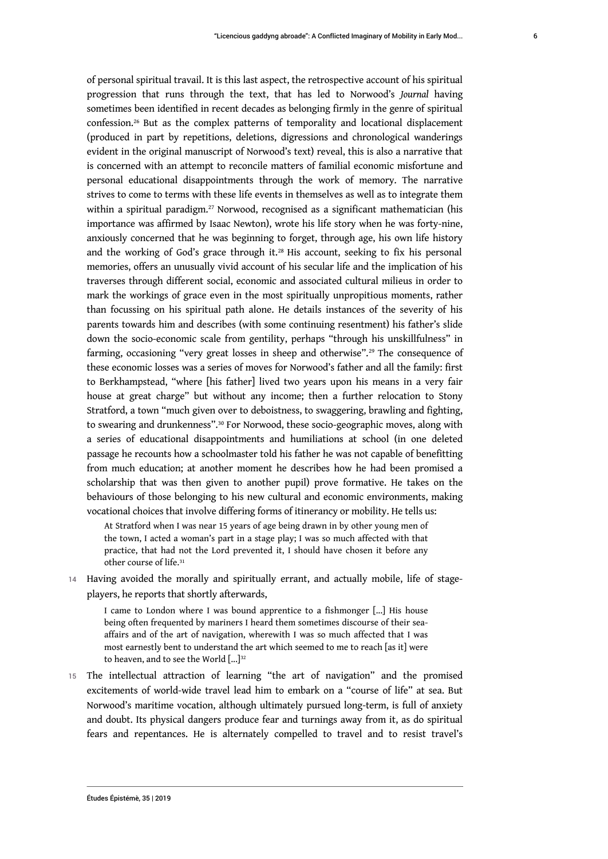of personal spiritual travail. It is this last aspect, the retrospective account of his spiritual progression that runs through the text, that has led to Norwood's *Journal* having sometimes been identified in recent decades as belonging firmly in the genre of spiritual confession.<sup>26</sup> But as the complex patterns of temporality and locational displacement (produced in part by repetitions, deletions, digressions and chronological wanderings evident in the original manuscript of Norwood's text) reveal, this is also a narrative that is concerned with an attempt to reconcile matters of familial economic misfortune and personal educational disappointments through the work of memory. The narrative strives to come to terms with these life events in themselves as well as to integrate them within a spiritual paradigm.<sup>27</sup> Norwood, recognised as a significant mathematician (his importance was affirmed by Isaac Newton), wrote his life story when he was forty-nine, anxiously concerned that he was beginning to forget, through age, his own life history and the working of God's grace through it.<sup>28</sup> His account, seeking to fix his personal memories, offers an unusually vivid account of his secular life and the implication of his traverses through different social, economic and associated cultural milieus in order to mark the workings of grace even in the most spiritually unpropitious moments, rather than focussing on his spiritual path alone. He details instances of the severity of his parents towards him and describes (with some continuing resentment) his father's slide down the socio-economic scale from gentility, perhaps "through his unskillfulness" in farming, occasioning "very great losses in sheep and otherwise".<sup>29</sup> The consequence of these economic losses was a series of moves for Norwood's father and all the family: first to Berkhampstead, "where [his father] lived two years upon his means in a very fair house at great charge" but without any income; then a further relocation to Stony Stratford, a town "much given over to deboistness, to swaggering, brawling and fighting, to swearing and drunkenness".30 For Norwood, these socio-geographic moves, along with a series of educational disappointments and humiliations at school (in one deleted passage he recounts how a schoolmaster told his father he was not capable of benefitting from much education; at another moment he describes how he had been promised a scholarship that was then given to another pupil) prove formative. He takes on the behaviours of those belonging to his new cultural and economic environments, making vocational choices that involve differing forms of itinerancy or mobility. He tells us:

At Stratford when I was near 15 years of age being drawn in by other young men of the town, I acted a woman's part in a stage play; I was so much affected with that practice, that had not the Lord prevented it, I should have chosen it before any other course of life.<sup>31</sup>

14 Having avoided the morally and spiritually errant, and actually mobile, life of stageplayers, he reports that shortly afterwards,

I came to London where I was bound apprentice to a fishmonger [...] His house being often frequented by mariners I heard them sometimes discourse of their seaaffairs and of the art of navigation, wherewith I was so much affected that I was most earnestly bent to understand the art which seemed to me to reach [as it] were to heaven, and to see the World  $[\dots]^{32}$ 

15 The intellectual attraction of learning "the art of navigation" and the promised excitements of world-wide travel lead him to embark on a "course of life" at sea. But Norwood's maritime vocation, although ultimately pursued long-term, is full of anxiety and doubt. Its physical dangers produce fear and turnings away from it, as do spiritual fears and repentances. He is alternately compelled to travel and to resist travel's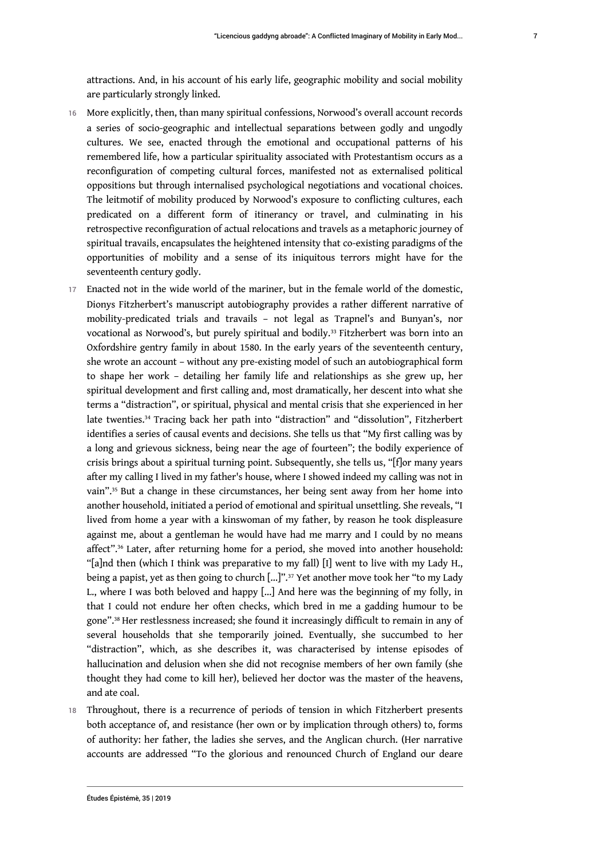attractions. And, in his account of his early life, geographic mobility and social mobility are particularly strongly linked.

- 16 More explicitly, then, than many spiritual confessions, Norwood's overall account records a series of socio-geographic and intellectual separations between godly and ungodly cultures. We see, enacted through the emotional and occupational patterns of his remembered life, how a particular spirituality associated with Protestantism occurs as a reconfiguration of competing cultural forces, manifested not as externalised political oppositions but through internalised psychological negotiations and vocational choices. The leitmotif of mobility produced by Norwood's exposure to conflicting cultures, each predicated on a different form of itinerancy or travel, and culminating in his retrospective reconfiguration of actual relocations and travels as a metaphoric journey of spiritual travails, encapsulates the heightened intensity that co-existing paradigms of the opportunities of mobility and a sense of its iniquitous terrors might have for the seventeenth century godly.
- 17 Enacted not in the wide world of the mariner, but in the female world of the domestic, Dionys Fitzherbert's manuscript autobiography provides a rather different narrative of mobility-predicated trials and travails – not legal as Trapnel's and Bunyan's, nor vocational as Norwood's, but purely spiritual and bodily.<sup>33</sup> Fitzherbert was born into an Oxfordshire gentry family in about 1580. In the early years of the seventeenth century, she wrote an account – without any pre-existing model of such an autobiographical form to shape her work – detailing her family life and relationships as she grew up, her spiritual development and first calling and, most dramatically, her descent into what she terms a "distraction", or spiritual, physical and mental crisis that she experienced in her late twenties.<sup>34</sup> Tracing back her path into "distraction" and "dissolution", Fitzherbert identifies a series of causal events and decisions. She tells us that "My first calling was by a long and grievous sickness, being near the age of fourteen"; the bodily experience of crisis brings about a spiritual turning point. Subsequently, she tells us, "[f]or many years after my calling I lived in my father's house, where I showed indeed my calling was not in vain".<sup>35</sup> But a change in these circumstances, her being sent away from her home into another household, initiated a period of emotional and spiritual unsettling. She reveals, "I lived from home a year with a kinswoman of my father, by reason he took displeasure against me, about a gentleman he would have had me marry and I could by no means affect".<sup>36</sup> Later, after returning home for a period, she moved into another household: "[a]nd then (which I think was preparative to my fall) [I] went to live with my Lady H., being a papist, yet as then going to church [...]".<sup>37</sup> Yet another move took her "to my Lady L., where I was both beloved and happy […] And here was the beginning of my folly, in that I could not endure her often checks, which bred in me a gadding humour to be gone".<sup>38</sup> Her restlessness increased; she found it increasingly difficult to remain in any of several households that she temporarily joined. Eventually, she succumbed to her "distraction", which, as she describes it, was characterised by intense episodes of hallucination and delusion when she did not recognise members of her own family (she thought they had come to kill her), believed her doctor was the master of the heavens, and ate coal.
- 18 Throughout, there is a recurrence of periods of tension in which Fitzherbert presents both acceptance of, and resistance (her own or by implication through others) to, forms of authority: her father, the ladies she serves, and the Anglican church. (Her narrative accounts are addressed "To the glorious and renounced Church of England our deare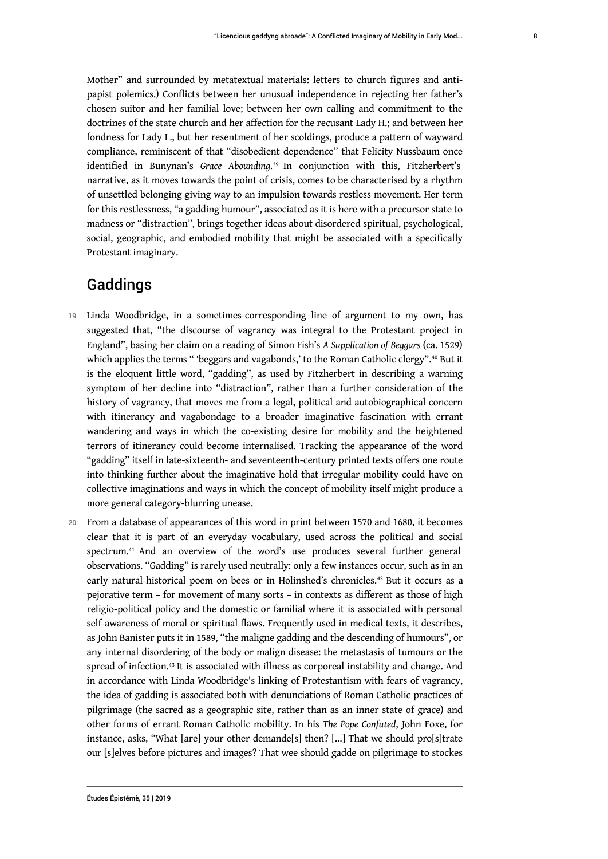8

Mother" and surrounded by metatextual materials: letters to church figures and antipapist polemics.) Conflicts between her unusual independence in rejecting her father's chosen suitor and her familial love; between her own calling and commitment to the doctrines of the state church and her affection for the recusant Lady H.; and between her fondness for Lady L., but her resentment of her scoldings, produce a pattern of wayward compliance, reminiscent of that "disobedient dependence" that Felicity Nussbaum once identified in Bunynan's *Grace Abounding*. <sup>39</sup> In conjunction with this, Fitzherbert's narrative, as it moves towards the point of crisis, comes to be characterised by a rhythm of unsettled belonging giving way to an impulsion towards restless movement. Her term for this restlessness, "a gadding humour", associated as it is here with a precursor state to madness or "distraction", brings together ideas about disordered spiritual, psychological, social, geographic, and embodied mobility that might be associated with a specifically Protestant imaginary.

# Gaddings

- 19 Linda Woodbridge, in a sometimes-corresponding line of argument to my own, has suggested that, "the discourse of vagrancy was integral to the Protestant project in England", basing her claim on a reading of Simon Fish's *A Supplication of Beggars* (ca. 1529) which applies the terms " 'beggars and vagabonds,' to the Roman Catholic clergy".<sup>40</sup> But it is the eloquent little word, "gadding", as used by Fitzherbert in describing a warning symptom of her decline into "distraction", rather than a further consideration of the history of vagrancy, that moves me from a legal, political and autobiographical concern with itinerancy and vagabondage to a broader imaginative fascination with errant wandering and ways in which the co-existing desire for mobility and the heightened terrors of itinerancy could become internalised. Tracking the appearance of the word "gadding" itself in late-sixteenth- and seventeenth-century printed texts offers one route into thinking further about the imaginative hold that irregular mobility could have on collective imaginations and ways in which the concept of mobility itself might produce a more general category-blurring unease.
- 20 From a database of appearances of this word in print between 1570 and 1680, it becomes clear that it is part of an everyday vocabulary, used across the political and social spectrum.41 And an overview of the word's use produces several further general observations. "Gadding" is rarely used neutrally: only a few instances occur, such as in an early natural-historical poem on bees or in Holinshed's chronicles.<sup>42</sup> But it occurs as a pejorative term – for movement of many sorts – in contexts as different as those of high religio-political policy and the domestic or familial where it is associated with personal self-awareness of moral or spiritual flaws. Frequently used in medical texts, it describes, as John Banister puts it in 1589, "the maligne gadding and the descending of humours", or any internal disordering of the body or malign disease: the metastasis of tumours or the spread of infection.<sup>43</sup> It is associated with illness as corporeal instability and change. And in accordance with Linda Woodbridge's linking of Protestantism with fears of vagrancy, the idea of gadding is associated both with denunciations of Roman Catholic practices of pilgrimage (the sacred as a geographic site, rather than as an inner state of grace) and other forms of errant Roman Catholic mobility. In his *The Pope Confuted*, John Foxe, for instance, asks, "What [are] your other demande[s] then? [...] That we should pro[s]trate our [s]elves before pictures and images? That wee should gadde on pilgrimage to stockes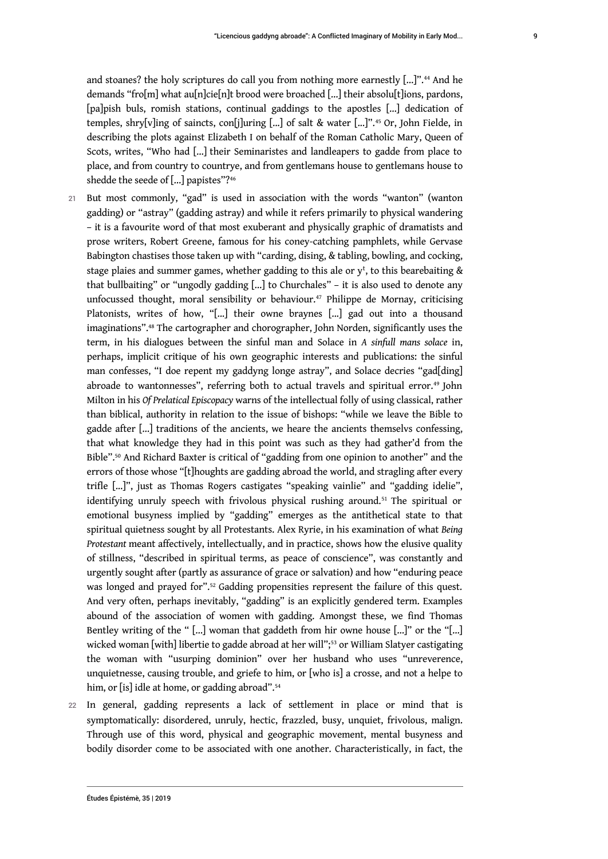and stoanes? the holy scriptures do call you from nothing more earnestly [...]".44 And he demands "fro[m] what au[n]cie[n]t brood were broached [...] their absolu[t]ions, pardons, [pa]pish buls, romish stations, continual gaddings to the apostles [...] dedication of temples, shry[v]ing of saincts, con[j]uring [...] of salt & water [...]".45 Or, John Fielde, in describing the plots against Elizabeth I on behalf of the Roman Catholic Mary, Queen of Scots, writes, "Who had [...] their Seminaristes and landleapers to gadde from place to place, and from country to countrye, and from gentlemans house to gentlemans house to shedde the seede of [...] papistes"?<sup>46</sup>

- 21 But most commonly, "gad" is used in association with the words "wanton" (wanton gadding) or "astray" (gadding astray) and while it refers primarily to physical wandering – it is a favourite word of that most exuberant and physically graphic of dramatists and prose writers, Robert Greene, famous for his coney-catching pamphlets, while Gervase Babington chastises those taken up with "carding, dising, & tabling, bowling, and cocking, stage plaies and summer games, whether gadding to this ale or  $\mathrm{y}^{\mathrm{t}}$ , to this bearebaiting & that bullbaiting" or "ungodly gadding [...] to Churchales" – it is also used to denote any unfocussed thought, moral sensibility or behaviour.<sup>47</sup> Philippe de Mornay, criticising Platonists, writes of how, "[...] their owne braynes [...] gad out into a thousand imaginations".48 The cartographer and chorographer, John Norden, significantly uses the term, in his dialogues between the sinful man and Solace in *A sinfull mans solace* in, perhaps, implicit critique of his own geographic interests and publications: the sinful man confesses, "I doe repent my gaddyng longe astray", and Solace decries "gad[ding] abroade to wantonnesses", referring both to actual travels and spiritual error.<sup>49</sup> John Milton in his *Of Prelatical Episcopacy* warns of the intellectual folly of using classical, rather than biblical, authority in relation to the issue of bishops: "while we leave the Bible to gadde after [...] traditions of the ancients, we heare the ancients themselvs confessing, that what knowledge they had in this point was such as they had gather'd from the Bible".50 And Richard Baxter is critical of "gadding from one opinion to another" and the errors of those whose "[t]houghts are gadding abroad the world, and stragling after every trifle [...]", just as Thomas Rogers castigates "speaking vainlie" and "gadding idelie", identifying unruly speech with frivolous physical rushing around.<sup>51</sup> The spiritual or emotional busyness implied by "gadding" emerges as the antithetical state to that spiritual quietness sought by all Protestants. Alex Ryrie, in his examination of what *Being Protestant* meant affectively, intellectually, and in practice, shows how the elusive quality of stillness, "described in spiritual terms, as peace of conscience", was constantly and urgently sought after (partly as assurance of grace or salvation) and how "enduring peace was longed and prayed for".<sup>52</sup> Gadding propensities represent the failure of this quest. And very often, perhaps inevitably, "gadding" is an explicitly gendered term. Examples abound of the association of women with gadding. Amongst these, we find Thomas Bentley writing of the " […] woman that gaddeth from hir owne house [...]" or the "[…] wicked woman [with] libertie to gadde abroad at her will";<sup>53</sup> or William Slatyer castigating the woman with "usurping dominion" over her husband who uses "unreverence, unquietnesse, causing trouble, and griefe to him, or [who is] a crosse, and not a helpe to him, or [is] idle at home, or gadding abroad".<sup>54</sup>
- 22 In general, gadding represents a lack of settlement in place or mind that is symptomatically: disordered, unruly, hectic, frazzled, busy, unquiet, frivolous, malign. Through use of this word, physical and geographic movement, mental busyness and bodily disorder come to be associated with one another. Characteristically, in fact, the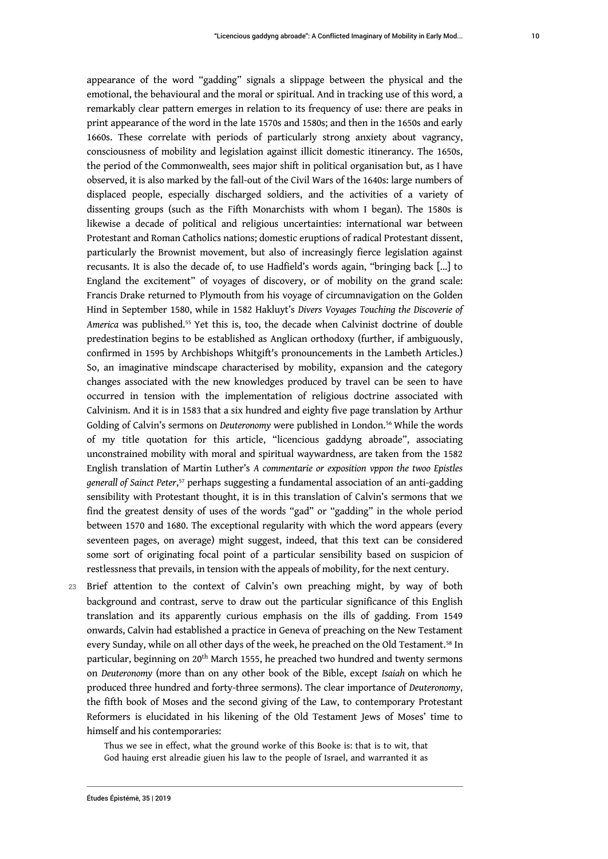appearance of the word "gadding" signals a slippage between the physical and the emotional, the behavioural and the moral or spiritual. And in tracking use of this word, a remarkably clear pattern emerges in relation to its frequency of use: there are peaks in print appearance of the word in the late 1570s and 1580s; and then in the 1650s and early 1660s. These correlate with periods of particularly strong anxiety about vagrancy, consciousness of mobility and legislation against illicit domestic itinerancy. The 1650s, the period of the Commonwealth, sees major shift in political organisation but, as I have observed, it is also marked by the fall-out of the Civil Wars of the 1640s: large numbers of displaced people, especially discharged soldiers, and the activities of a variety of dissenting groups (such as the Fifth Monarchists with whom I began). The 1580s is likewise a decade of political and religious uncertainties: international war between Protestant and Roman Catholics nations; domestic eruptions of radical Protestant dissent, particularly the Brownist movement, but also of increasingly fierce legislation against recusants. It is also the decade of, to use Hadfield's words again, "bringing back [...] to England the excitement" of voyages of discovery, or of mobility on the grand scale: Francis Drake returned to Plymouth from his voyage of circumnavigation on the Golden Hind in September 1580, while in 1582 Hakluyt's *Divers Voyages Touching the Discoverie of America* was published.55 Yet this is, too, the decade when Calvinist doctrine of double predestination begins to be established as Anglican orthodoxy (further, if ambiguously, confirmed in 1595 by Archbishops Whitgift's pronouncements in the Lambeth Articles.) So, an imaginative mindscape characterised by mobility, expansion and the category changes associated with the new knowledges produced by travel can be seen to have occurred in tension with the implementation of religious doctrine associated with Calvinism. And it is in 1583 that a six hundred and eighty five page translation by Arthur Golding of Calvin's sermons on *Deuteronomy* were published in London.<sup>56</sup> While the words of my title quotation for this article, "licencious gaddyng abroade", associating unconstrained mobility with moral and spiritual waywardness, are taken from the 1582 English translation of Martin Luther's *A commentarie or exposition vppon the twoo Epistles generall of Sainct Peter*, <sup>57</sup> perhaps suggesting a fundamental association of an anti-gadding sensibility with Protestant thought, it is in this translation of Calvin's sermons that we find the greatest density of uses of the words "gad" or "gadding" in the whole period between 1570 and 1680. The exceptional regularity with which the word appears (every seventeen pages, on average) might suggest, indeed, that this text can be considered some sort of originating focal point of a particular sensibility based on suspicion of restlessness that prevails, in tension with the appeals of mobility, for the next century.

23 Brief attention to the context of Calvin's own preaching might, by way of both background and contrast, serve to draw out the particular significance of this English translation and its apparently curious emphasis on the ills of gadding. From 1549 onwards, Calvin had established a practice in Geneva of preaching on the New Testament every Sunday, while on all other days of the week, he preached on the Old Testament.<sup>58</sup> In particular, beginning on 20<sup>th</sup> March 1555, he preached two hundred and twenty sermons on *Deuteronomy* (more than on any other book of the Bible, except *Isaiah* on which he produced three hundred and forty-three sermons). The clear importance of *Deuteronomy*, the fifth book of Moses and the second giving of the Law, to contemporary Protestant Reformers is elucidated in his likening of the Old Testament Jews of Moses' time to himself and his contemporaries:

Thus we see in effect, what the ground worke of this Booke is: that is to wit, that God hauing erst alreadie giuen his law to the people of Israel, and warranted it as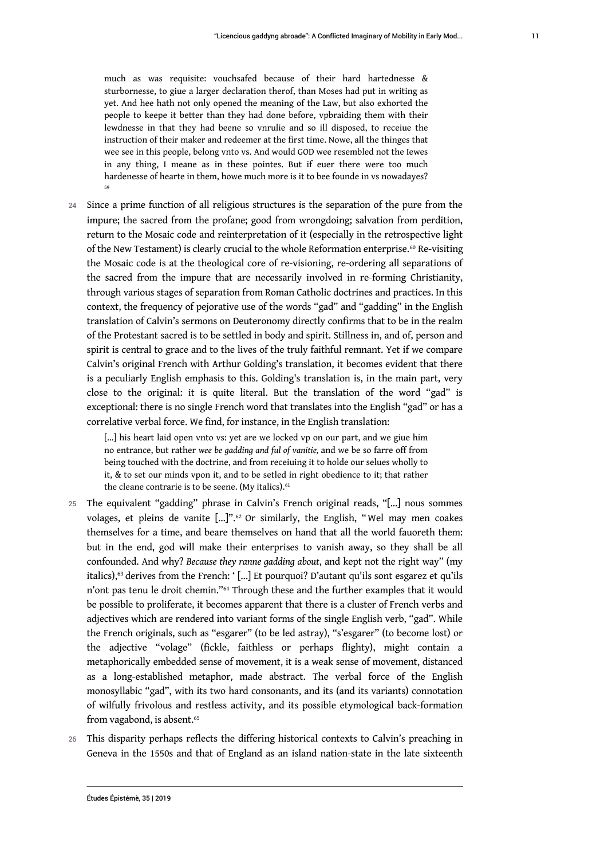much as was requisite: vouchsafed because of their hard hartednesse & sturbornesse, to giue a larger declaration therof, than Moses had put in writing as yet. And hee hath not only opened the meaning of the Law, but also exhorted the people to keepe it better than they had done before, vpbraiding them with their lewdnesse in that they had beene so vnrulie and so ill disposed, to receiue the instruction of their maker and redeemer at the first time. Nowe, all the thinges that wee see in this people, belong vnto vs. And would GOD wee resembled not the Iewes in any thing, I meane as in these pointes. But if euer there were too much hardenesse of hearte in them, howe much more is it to bee founde in vs nowadayes? 59

24 Since a prime function of all religious structures is the separation of the pure from the impure; the sacred from the profane; good from wrongdoing; salvation from perdition, return to the Mosaic code and reinterpretation of it (especially in the retrospective light of the New Testament) is clearly crucial to the whole Reformation enterprise.<sup>60</sup> Re-visiting the Mosaic code is at the theological core of re-visioning, re-ordering all separations of the sacred from the impure that are necessarily involved in re-forming Christianity, through various stages of separation from Roman Catholic doctrines and practices. In this context, the frequency of pejorative use of the words "gad" and "gadding" in the English translation of Calvin's sermons on Deuteronomy directly confirms that to be in the realm of the Protestant sacred is to be settled in body and spirit. Stillness in, and of, person and spirit is central to grace and to the lives of the truly faithful remnant. Yet if we compare Calvin's original French with Arthur Golding's translation, it becomes evident that there is a peculiarly English emphasis to this. Golding's translation is, in the main part, very close to the original: it is quite literal. But the translation of the word "gad" is exceptional: there is no single French word that translates into the English "gad" or has a correlative verbal force. We find, for instance, in the English translation:

[...] his heart laid open vnto vs: yet are we locked vp on our part, and we giue him no entrance, but rather *wee be gadding and ful of vanitie,* and we be so farre off from being touched with the doctrine, and from receiuing it to holde our selues wholly to it, & to set our minds vpon it, and to be setled in right obedience to it; that rather the cleane contrarie is to be seene. (My italics).<sup>61</sup>

- 25 The equivalent "gadding" phrase in Calvin's French original reads, "[…] nous sommes volages, et pleins de vanite  $\left[\ldots\right]$ ".<sup>62</sup> Or similarly, the English, "Wel may men coakes themselves for a time, and beare themselves on hand that all the world fauoreth them: but in the end, god will make their enterprises to vanish away, so they shall be all confounded. And why? *Because they ranne gadding about*, and kept not the right way" (my italics),<sup>63</sup> derives from the French: '[...] Et pourquoi? D'autant qu'ils sont esgarez et qu'ils n'ont pas tenu le droit chemin."64 Through these and the further examples that it would be possible to proliferate, it becomes apparent that there is a cluster of French verbs and adjectives which are rendered into variant forms of the single English verb, "gad". While the French originals, such as "esgarer" (to be led astray), "s'esgarer" (to become lost) or the adjective "volage" (fickle, faithless or perhaps flighty), might contain a metaphorically embedded sense of movement, it is a weak sense of movement, distanced as a long-established metaphor, made abstract. The verbal force of the English monosyllabic "gad", with its two hard consonants, and its (and its variants) connotation of wilfully frivolous and restless activity, and its possible etymological back-formation from vagabond, is absent.<sup>65</sup>
- 26 This disparity perhaps reflects the differing historical contexts to Calvin's preaching in Geneva in the 1550s and that of England as an island nation-state in the late sixteenth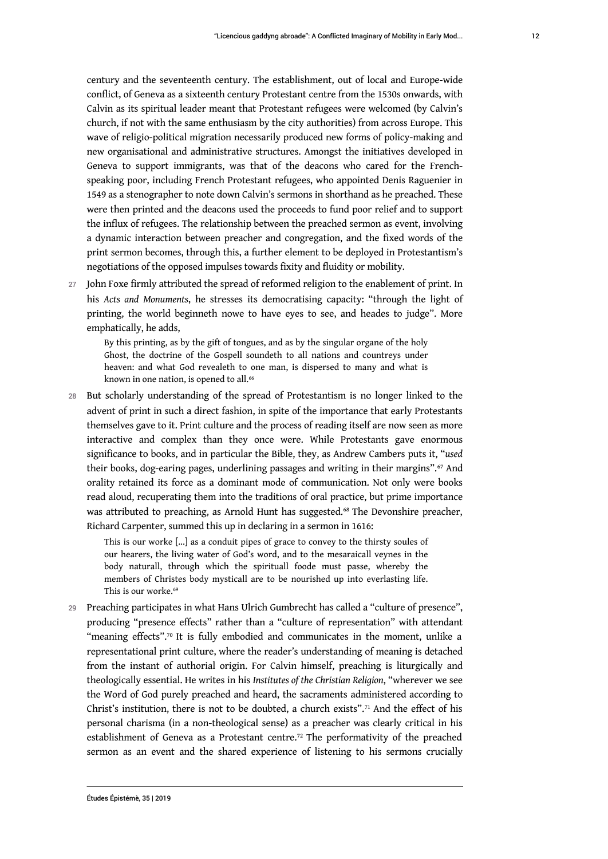century and the seventeenth century. The establishment, out of local and Europe-wide conflict, of Geneva as a sixteenth century Protestant centre from the 1530s onwards, with Calvin as its spiritual leader meant that Protestant refugees were welcomed (by Calvin's church, if not with the same enthusiasm by the city authorities) from across Europe. This wave of religio-political migration necessarily produced new forms of policy-making and new organisational and administrative structures. Amongst the initiatives developed in Geneva to support immigrants, was that of the deacons who cared for the Frenchspeaking poor, including French Protestant refugees, who appointed Denis Raguenier in 1549 as a stenographer to note down Calvin's sermons in shorthand as he preached. These were then printed and the deacons used the proceeds to fund poor relief and to support the influx of refugees. The relationship between the preached sermon as event, involving a dynamic interaction between preacher and congregation, and the fixed words of the print sermon becomes, through this, a further element to be deployed in Protestantism's negotiations of the opposed impulses towards fixity and fluidity or mobility.

27 John Foxe firmly attributed the spread of reformed religion to the enablement of print. In his *Acts and Monuments*, he stresses its democratising capacity: "through the light of printing, the world beginneth nowe to have eyes to see, and heades to judge". More emphatically, he adds,

By this printing, as by the gift of tongues, and as by the singular organe of the holy Ghost, the doctrine of the Gospell soundeth to all nations and countreys under heaven: and what God revealeth to one man, is dispersed to many and what is known in one nation, is opened to all.<sup>66</sup>

28 But scholarly understanding of the spread of Protestantism is no longer linked to the advent of print in such a direct fashion, in spite of the importance that early Protestants themselves gave to it. Print culture and the process of reading itself are now seen as more interactive and complex than they once were. While Protestants gave enormous significance to books, and in particular the Bible, they, as Andrew Cambers puts it, "*used* their books, dog-earing pages, underlining passages and writing in their margins".67 And orality retained its force as a dominant mode of communication. Not only were books read aloud, recuperating them into the traditions of oral practice, but prime importance was attributed to preaching, as Arnold Hunt has suggested.<sup>68</sup> The Devonshire preacher, Richard Carpenter, summed this up in declaring in a sermon in 1616:

This is our worke [...] as a conduit pipes of grace to convey to the thirsty soules of our hearers, the living water of God's word, and to the mesaraicall veynes in the body naturall, through which the spirituall foode must passe, whereby the members of Christes body mysticall are to be nourished up into everlasting life. This is our worke.<sup>69</sup>

29 Preaching participates in what Hans Ulrich Gumbrecht has called a "culture of presence", producing "presence effects" rather than a "culture of representation" with attendant "meaning effects".<sup>70</sup> It is fully embodied and communicates in the moment, unlike a representational print culture, where the reader's understanding of meaning is detached from the instant of authorial origin. For Calvin himself, preaching is liturgically and theologically essential. He writes in his *Institutes of the Christian Religion*, "wherever we see the Word of God purely preached and heard, the sacraments administered according to Christ's institution, there is not to be doubted, a church exists".71 And the effect of his personal charisma (in a non-theological sense) as a preacher was clearly critical in his establishment of Geneva as a Protestant centre.72 The performativity of the preached sermon as an event and the shared experience of listening to his sermons crucially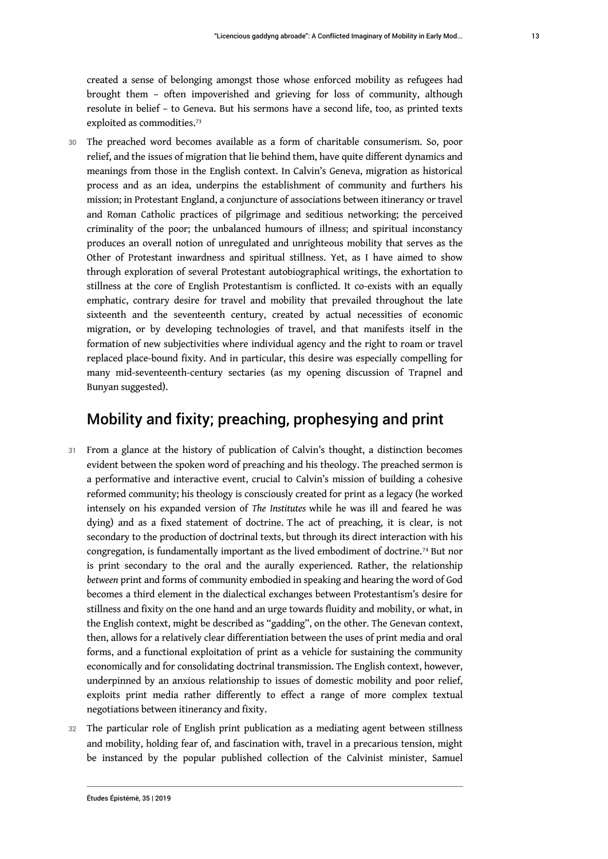created a sense of belonging amongst those whose enforced mobility as refugees had brought them – often impoverished and grieving for loss of community, although resolute in belief – to Geneva. But his sermons have a second life, too, as printed texts exploited as commodities.<sup>73</sup>

30 The preached word becomes available as a form of charitable consumerism. So, poor relief, and the issues of migration that lie behind them, have quite different dynamics and meanings from those in the English context. In Calvin's Geneva, migration as historical process and as an idea, underpins the establishment of community and furthers his mission; in Protestant England, a conjuncture of associations between itinerancy or travel and Roman Catholic practices of pilgrimage and seditious networking; the perceived criminality of the poor; the unbalanced humours of illness; and spiritual inconstancy produces an overall notion of unregulated and unrighteous mobility that serves as the Other of Protestant inwardness and spiritual stillness. Yet, as I have aimed to show through exploration of several Protestant autobiographical writings, the exhortation to stillness at the core of English Protestantism is conflicted. It co-exists with an equally emphatic, contrary desire for travel and mobility that prevailed throughout the late sixteenth and the seventeenth century, created by actual necessities of economic migration, or by developing technologies of travel, and that manifests itself in the formation of new subjectivities where individual agency and the right to roam or travel replaced place-bound fixity. And in particular, this desire was especially compelling for many mid-seventeenth-century sectaries (as my opening discussion of Trapnel and Bunyan suggested).

# Mobility and fixity; preaching, prophesying and print

- 31 From a glance at the history of publication of Calvin's thought, a distinction becomes evident between the spoken word of preaching and his theology. The preached sermon is a performative and interactive event, crucial to Calvin's mission of building a cohesive reformed community; his theology is consciously created for print as a legacy (he worked intensely on his expanded version of *The Institutes* while he was ill and feared he was dying) and as a fixed statement of doctrine. The act of preaching, it is clear, is not secondary to the production of doctrinal texts, but through its direct interaction with his congregation, is fundamentally important as the lived embodiment of doctrine.74 But nor is print secondary to the oral and the aurally experienced. Rather, the relationship *between* print and forms of community embodied in speaking and hearing the word of God becomes a third element in the dialectical exchanges between Protestantism's desire for stillness and fixity on the one hand and an urge towards fluidity and mobility, or what, in the English context, might be described as "gadding", on the other. The Genevan context, then, allows for a relatively clear differentiation between the uses of print media and oral forms, and a functional exploitation of print as a vehicle for sustaining the community economically and for consolidating doctrinal transmission. The English context, however, underpinned by an anxious relationship to issues of domestic mobility and poor relief, exploits print media rather differently to effect a range of more complex textual negotiations between itinerancy and fixity.
- 32 The particular role of English print publication as a mediating agent between stillness and mobility, holding fear of, and fascination with, travel in a precarious tension, might be instanced by the popular published collection of the Calvinist minister, Samuel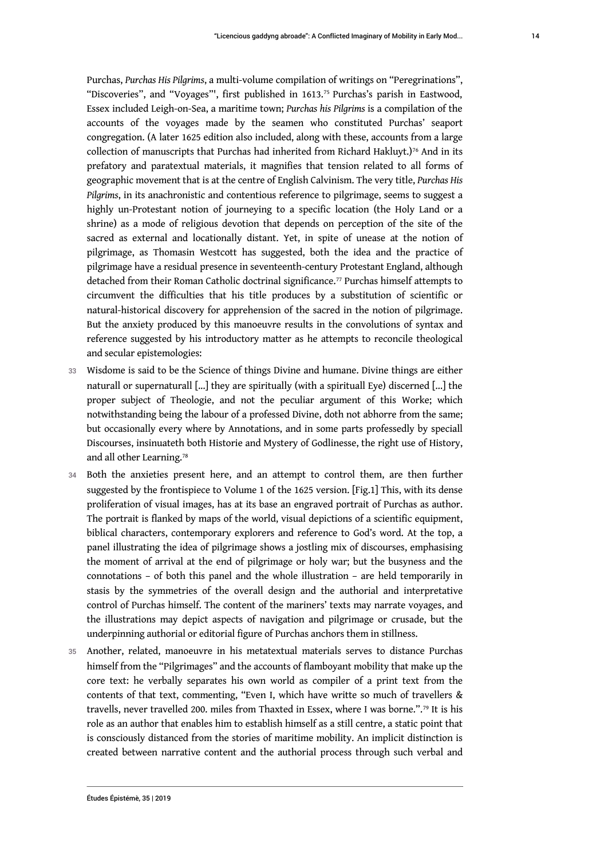Purchas, *Purchas His Pilgrims*, a multi-volume compilation of writings on "Peregrinations", "Discoveries", and "Voyages"', first published in 1613.75 Purchas's parish in Eastwood, Essex included Leigh-on-Sea, a maritime town; *Purchas his Pilgrims* is a compilation of the accounts of the voyages made by the seamen who constituted Purchas' seaport congregation. (A later 1625 edition also included, along with these, accounts from a large collection of manuscripts that Purchas had inherited from Richard Hakluyt.)<sup>76</sup> And in its prefatory and paratextual materials, it magnifies that tension related to all forms of geographic movement that is at the centre of English Calvinism. The very title, *Purchas His Pilgrims*, in its anachronistic and contentious reference to pilgrimage, seems to suggest a highly un-Protestant notion of journeying to a specific location (the Holy Land or a shrine) as a mode of religious devotion that depends on perception of the site of the sacred as external and locationally distant. Yet, in spite of unease at the notion of pilgrimage, as Thomasin Westcott has suggested, both the idea and the practice of pilgrimage have a residual presence in seventeenth-century Protestant England, although detached from their Roman Catholic doctrinal significance.<sup>77</sup> Purchas himself attempts to circumvent the difficulties that his title produces by a substitution of scientific or natural-historical discovery for apprehension of the sacred in the notion of pilgrimage. But the anxiety produced by this manoeuvre results in the convolutions of syntax and reference suggested by his introductory matter as he attempts to reconcile theological and secular epistemologies:

- 33 Wisdome is said to be the Science of things Divine and humane. Divine things are either naturall or supernaturall [...] they are spiritually (with a spirituall Eye) discerned [...] the proper subject of Theologie, and not the peculiar argument of this Worke; which notwithstanding being the labour of a professed Divine, doth not abhorre from the same; but occasionally every where by Annotations, and in some parts professedly by speciall Discourses, insinuateth both Historie and Mystery of Godlinesse, the right use of History, and all other Learning.<sup>78</sup>
- 34 Both the anxieties present here, and an attempt to control them, are then further suggested by the frontispiece to Volume 1 of the 1625 version. [Fig.1] This, with its dense proliferation of visual images, has at its base an engraved portrait of Purchas as author. The portrait is flanked by maps of the world, visual depictions of a scientific equipment, biblical characters, contemporary explorers and reference to God's word. At the top, a panel illustrating the idea of pilgrimage shows a jostling mix of discourses, emphasising the moment of arrival at the end of pilgrimage or holy war; but the busyness and the connotations – of both this panel and the whole illustration – are held temporarily in stasis by the symmetries of the overall design and the authorial and interpretative control of Purchas himself. The content of the mariners' texts may narrate voyages, and the illustrations may depict aspects of navigation and pilgrimage or crusade, but the underpinning authorial or editorial figure of Purchas anchors them in stillness.
- 35 Another, related, manoeuvre in his metatextual materials serves to distance Purchas himself from the "Pilgrimages" and the accounts of flamboyant mobility that make up the core text: he verbally separates his own world as compiler of a print text from the contents of that text, commenting, "Even I, which have writte so much of travellers & travells, never travelled 200. miles from Thaxted in Essex, where I was borne.".79 It is his role as an author that enables him to establish himself as a still centre, a static point that is consciously distanced from the stories of maritime mobility. An implicit distinction is created between narrative content and the authorial process through such verbal and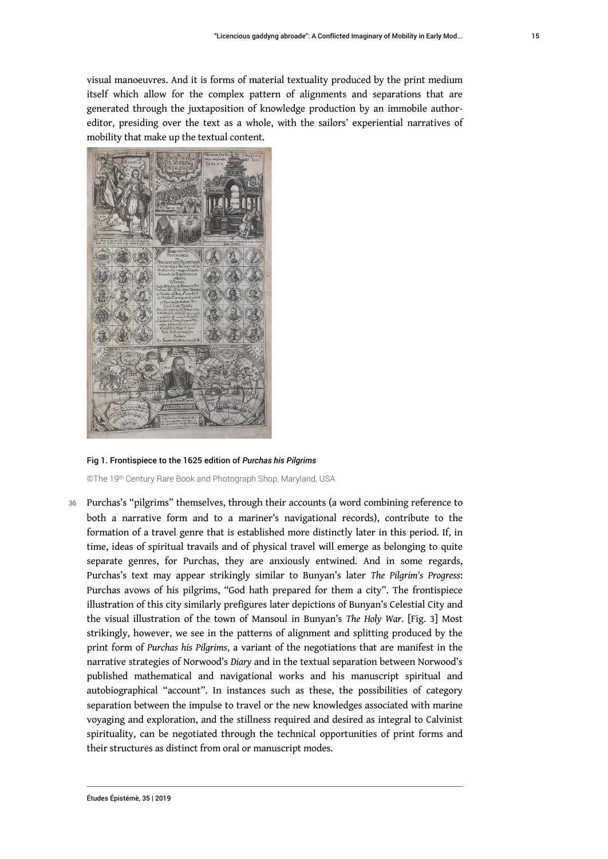visual manoeuvres. And it is forms of material textuality produced by the print medium itself which allow for the complex pattern of alignments and separations that are generated through the juxtaposition of knowledge production by an immobile authoreditor, presiding over the text as a whole, with the sailors' experiential narratives of mobility that make up the textual content.



Fig 1. Frontispiece to the 1625 edition of *Purchas his Pilgrims*

©The 19<sup>th</sup> Century Rare Book and Photograph Shop, Maryland, USA

36 Purchas's "pilgrims" themselves, through their accounts (a word combining reference to both a narrative form and to a mariner's navigational records), contribute to the formation of a travel genre that is established more distinctly later in this period. If, in time, ideas of spiritual travails and of physical travel will emerge as belonging to quite separate genres, for Purchas, they are anxiously entwined. And in some regards, Purchas's text may appear strikingly similar to Bunyan's later *The Pilgrim's Progress*: Purchas avows of his pilgrims, "God hath prepared for them a city". The frontispiece illustration of this city similarly prefigures later depictions of Bunyan's Celestial City and the visual illustration of the town of Mansoul in Bunyan's *The Holy War*. [Fig. 3] Most strikingly, however, we see in the patterns of alignment and splitting produced by the print form of *Purchas his Pilgrims*, a variant of the negotiations that are manifest in the narrative strategies of Norwood's *Diary* and in the textual separation between Norwood's published mathematical and navigational works and his manuscript spiritual and autobiographical "account". In instances such as these, the possibilities of category separation between the impulse to travel or the new knowledges associated with marine voyaging and exploration, and the stillness required and desired as integral to Calvinist spirituality, can be negotiated through the technical opportunities of print forms and their structures as distinct from oral or manuscript modes.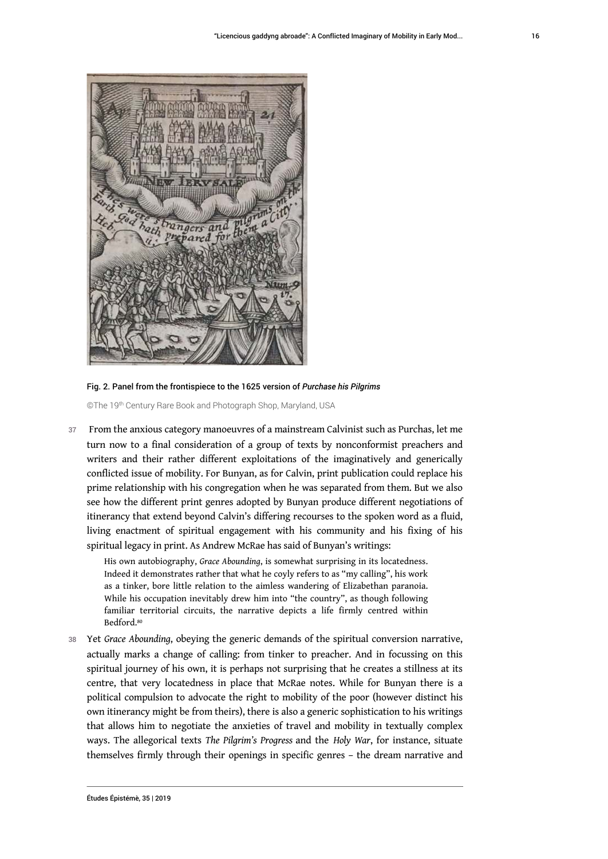

Fig. 2. Panel from the frontispiece to the 1625 version of *Purchase his Pilgrims*

©The 19<sup>th</sup> Century Rare Book and Photograph Shop, Maryland, USA

37 From the anxious category manoeuvres of a mainstream Calvinist such as Purchas, let me turn now to a final consideration of a group of texts by nonconformist preachers and writers and their rather different exploitations of the imaginatively and generically conflicted issue of mobility. For Bunyan, as for Calvin, print publication could replace his prime relationship with his congregation when he was separated from them. But we also see how the different print genres adopted by Bunyan produce different negotiations of itinerancy that extend beyond Calvin's differing recourses to the spoken word as a fluid, living enactment of spiritual engagement with his community and his fixing of his spiritual legacy in print. As Andrew McRae has said of Bunyan's writings:

His own autobiography, *Grace Abounding*, is somewhat surprising in its locatedness. Indeed it demonstrates rather that what he coyly refers to as "my calling", his work as a tinker, bore little relation to the aimless wandering of Elizabethan paranoia. While his occupation inevitably drew him into "the country", as though following familiar territorial circuits, the narrative depicts a life firmly centred within Bedford.<sup>80</sup>

<sup>38</sup>Yet *Grace Abounding*, obeying the generic demands of the spiritual conversion narrative, actually marks a change of calling: from tinker to preacher. And in focussing on this spiritual journey of his own, it is perhaps not surprising that he creates a stillness at its centre, that very locatedness in place that McRae notes. While for Bunyan there is a political compulsion to advocate the right to mobility of the poor (however distinct his own itinerancy might be from theirs), there is also a generic sophistication to his writings that allows him to negotiate the anxieties of travel and mobility in textually complex ways. The allegorical texts *The Pilgrim's Progress* and the *Holy War*, for instance, situate themselves firmly through their openings in specific genres – the dream narrative and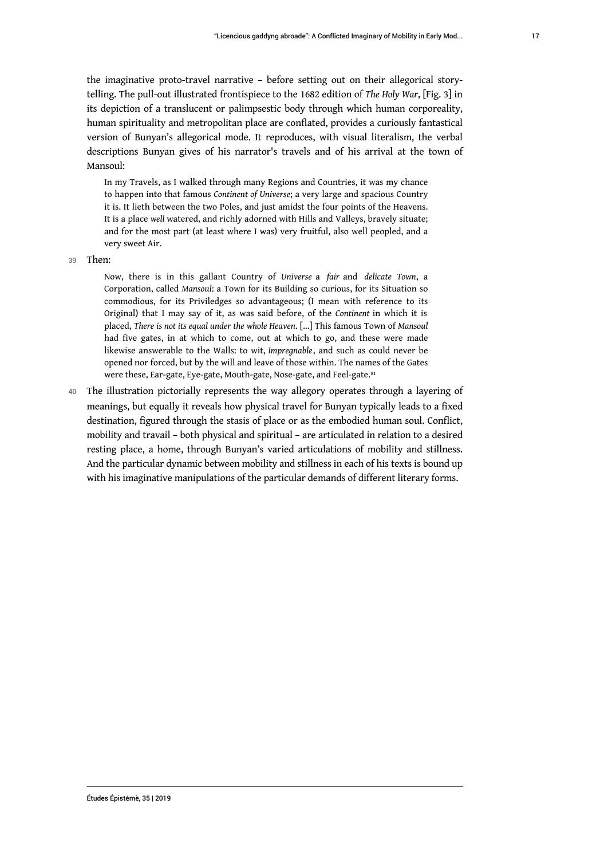the imaginative proto-travel narrative – before setting out on their allegorical storytelling. The pull-out illustrated frontispiece to the 1682 edition of *The Holy War*, [Fig. 3] in its depiction of a translucent or palimpsestic body through which human corporeality, human spirituality and metropolitan place are conflated, provides a curiously fantastical version of Bunyan's allegorical mode. It reproduces, with visual literalism, the verbal descriptions Bunyan gives of his narrator's travels and of his arrival at the town of Mansoul:

In my Travels, as I walked through many Regions and Countries, it was my chance to happen into that famous *Continent of Universe*; a very large and spacious Country it is. It lieth between the two Poles, and just amidst the four points of the Heavens. It is a place *well* watered, and richly adorned with Hills and Valleys, bravely situate; and for the most part (at least where I was) very fruitful, also well peopled, and a very sweet Air.

39 Then:

Now, there is in this gallant Country of *Universe* a *fair* and *delicate Town*, a Corporation, called *Mansoul*: a Town for its Building so curious, for its Situation so commodious, for its Priviledges so advantageous; (I mean with reference to its Original) that I may say of it, as was said before, of the *Continent* in which it is placed, *There is not its equal under the whole Heaven*. […] This famous Town of *Mansoul* had five gates, in at which to come, out at which to go, and these were made likewise answerable to the Walls: to wit, *Impregnable*, and such as could never be opened nor forced, but by the will and leave of those within. The names of the Gates were these, Ear-gate, Eye-gate, Mouth-gate, Nose-gate, and Feel-gate.<sup>81</sup>

40 The illustration pictorially represents the way allegory operates through a layering of meanings, but equally it reveals how physical travel for Bunyan typically leads to a fixed destination, figured through the stasis of place or as the embodied human soul. Conflict, mobility and travail – both physical and spiritual – are articulated in relation to a desired resting place, a home, through Bunyan's varied articulations of mobility and stillness. And the particular dynamic between mobility and stillness in each of his texts is bound up with his imaginative manipulations of the particular demands of different literary forms.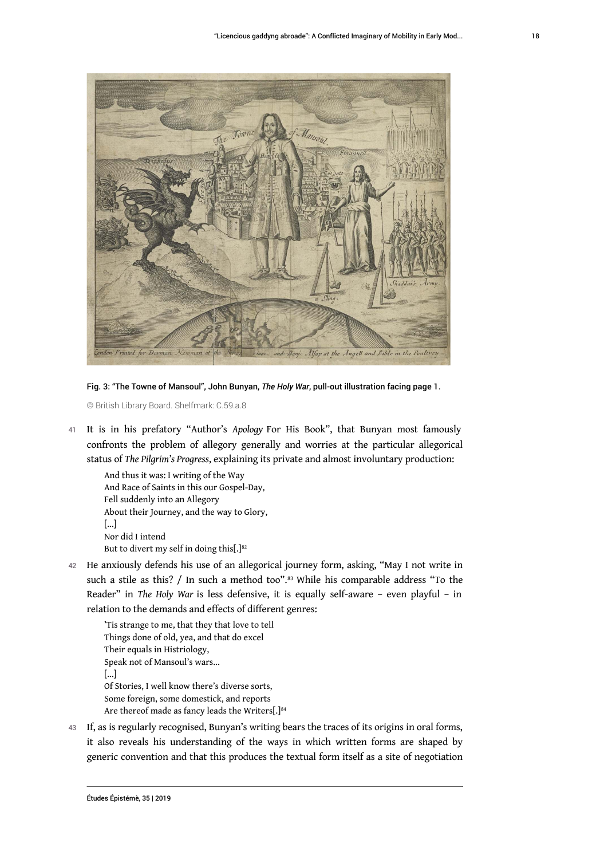

Fig. 3: "The Towne of Mansoul", John Bunyan, *The Holy War*, pull-out illustration facing page 1.

© British Library Board. Shelfmark: C.59.a.8

<sup>41</sup>It is in his prefatory "Author's *Apology* For His Book", that Bunyan most famously confronts the problem of allegory generally and worries at the particular allegorical status of *The Pilgrim's Progress*, explaining its private and almost involuntary production:

And thus it was: I writing of the Way And Race of Saints in this our Gospel-Day, Fell suddenly into an Allegory About their Journey, and the way to Glory, [...] Nor did I intend But to divert my self in doing this[.] $82$ 

42 He anxiously defends his use of an allegorical journey form, asking, "May I not write in such a stile as this? / In such a method too".<sup>83</sup> While his comparable address "To the Reader" in *The Holy War* is less defensive, it is equally self-aware – even playful – in relation to the demands and effects of different genres:

```
'Tis strange to me, that they that love to tell
Things done of old, yea, and that do excel
Their equals in Histriology,
Speak not of Mansoul's wars...
[...]
Of Stories, I well know there's diverse sorts,
Some foreign, some domestick, and reports
Are thereof made as fancy leads the Writers[.]<sup>84</sup>
```
43 If, as is regularly recognised, Bunyan's writing bears the traces of its origins in oral forms, it also reveals his understanding of the ways in which written forms are shaped by generic convention and that this produces the textual form itself as a site of negotiation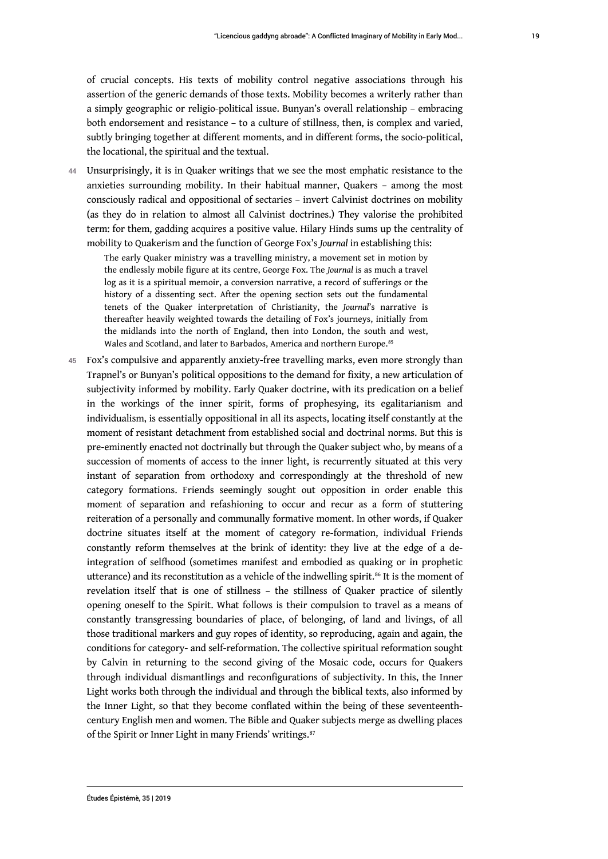of crucial concepts. His texts of mobility control negative associations through his assertion of the generic demands of those texts. Mobility becomes a writerly rather than a simply geographic or religio-political issue. Bunyan's overall relationship – embracing both endorsement and resistance – to a culture of stillness, then, is complex and varied, subtly bringing together at different moments, and in different forms, the socio-political, the locational, the spiritual and the textual.

44 Unsurprisingly, it is in Quaker writings that we see the most emphatic resistance to the anxieties surrounding mobility. In their habitual manner, Quakers – among the most consciously radical and oppositional of sectaries – invert Calvinist doctrines on mobility (as they do in relation to almost all Calvinist doctrines.) They valorise the prohibited term: for them, gadding acquires a positive value. Hilary Hinds sums up the centrality of mobility to Quakerism and the function of George Fox's *Journal* in establishing this:

The early Quaker ministry was a travelling ministry, a movement set in motion by the endlessly mobile figure at its centre, George Fox. The *Journal* is as much a travel log as it is a spiritual memoir, a conversion narrative, a record of sufferings or the history of a dissenting sect. After the opening section sets out the fundamental tenets of the Quaker interpretation of Christianity, the *Journal*'s narrative is thereafter heavily weighted towards the detailing of Fox's journeys, initially from the midlands into the north of England, then into London, the south and west, Wales and Scotland, and later to Barbados, America and northern Europe.<sup>85</sup>

45 Fox's compulsive and apparently anxiety-free travelling marks, even more strongly than Trapnel's or Bunyan's political oppositions to the demand for fixity, a new articulation of subjectivity informed by mobility. Early Quaker doctrine, with its predication on a belief in the workings of the inner spirit, forms of prophesying, its egalitarianism and individualism, is essentially oppositional in all its aspects, locating itself constantly at the moment of resistant detachment from established social and doctrinal norms. But this is pre-eminently enacted not doctrinally but through the Quaker subject who, by means of a succession of moments of access to the inner light, is recurrently situated at this very instant of separation from orthodoxy and correspondingly at the threshold of new category formations. Friends seemingly sought out opposition in order enable this moment of separation and refashioning to occur and recur as a form of stuttering reiteration of a personally and communally formative moment. In other words, if Quaker doctrine situates itself at the moment of category re-formation, individual Friends constantly reform themselves at the brink of identity: they live at the edge of a deintegration of selfhood (sometimes manifest and embodied as quaking or in prophetic utterance) and its reconstitution as a vehicle of the indwelling spirit.<sup>86</sup> It is the moment of revelation itself that is one of stillness – the stillness of Quaker practice of silently opening oneself to the Spirit. What follows is their compulsion to travel as a means of constantly transgressing boundaries of place, of belonging, of land and livings, of all those traditional markers and guy ropes of identity, so reproducing, again and again, the conditions for category- and self-reformation. The collective spiritual reformation sought by Calvin in returning to the second giving of the Mosaic code, occurs for Quakers through individual dismantlings and reconfigurations of subjectivity. In this, the Inner Light works both through the individual and through the biblical texts, also informed by the Inner Light, so that they become conflated within the being of these seventeenthcentury English men and women. The Bible and Quaker subjects merge as dwelling places of the Spirit or Inner Light in many Friends' writings.<sup>87</sup>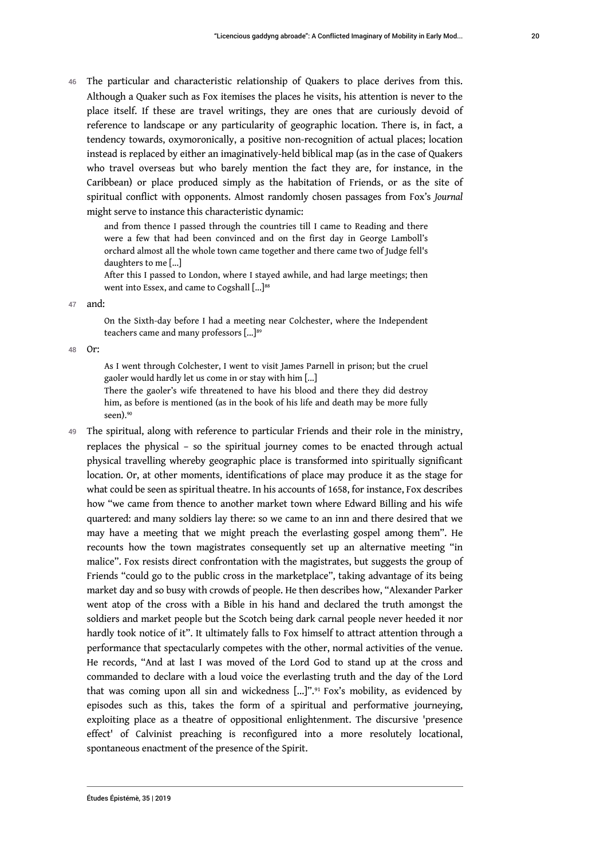46 The particular and characteristic relationship of Quakers to place derives from this. Although a Quaker such as Fox itemises the places he visits, his attention is never to the place itself. If these are travel writings, they are ones that are curiously devoid of reference to landscape or any particularity of geographic location. There is, in fact, a tendency towards, oxymoronically, a positive non-recognition of actual places; location instead is replaced by either an imaginatively-held biblical map (as in the case of Quakers who travel overseas but who barely mention the fact they are, for instance, in the Caribbean) or place produced simply as the habitation of Friends, or as the site of spiritual conflict with opponents. Almost randomly chosen passages from Fox's *Journal* might serve to instance this characteristic dynamic:

and from thence I passed through the countries till I came to Reading and there were a few that had been convinced and on the first day in George Lamboll's orchard almost all the whole town came together and there came two of Judge fell's daughters to me [...]

After this I passed to London, where I stayed awhile, and had large meetings; then went into Essex, and came to Cogshall [...]<sup>88</sup>

47 and:

On the Sixth-day before I had a meeting near Colchester, where the Independent teachers came and many professors [...]<sup>89</sup>

48 Or:

As I went through Colchester, I went to visit James Parnell in prison; but the cruel gaoler would hardly let us come in or stay with him [...]

There the gaoler's wife threatened to have his blood and there they did destroy him, as before is mentioned (as in the book of his life and death may be more fully seen).<sup>90</sup>

49 The spiritual, along with reference to particular Friends and their role in the ministry, replaces the physical – so the spiritual journey comes to be enacted through actual physical travelling whereby geographic place is transformed into spiritually significant location. Or, at other moments, identifications of place may produce it as the stage for what could be seen as spiritual theatre. In his accounts of 1658, for instance, Fox describes how "we came from thence to another market town where Edward Billing and his wife quartered: and many soldiers lay there: so we came to an inn and there desired that we may have a meeting that we might preach the everlasting gospel among them". He recounts how the town magistrates consequently set up an alternative meeting "in malice". Fox resists direct confrontation with the magistrates, but suggests the group of Friends "could go to the public cross in the marketplace", taking advantage of its being market day and so busy with crowds of people. He then describes how, "Alexander Parker went atop of the cross with a Bible in his hand and declared the truth amongst the soldiers and market people but the Scotch being dark carnal people never heeded it nor hardly took notice of it". It ultimately falls to Fox himself to attract attention through a performance that spectacularly competes with the other, normal activities of the venue. He records, "And at last I was moved of the Lord God to stand up at the cross and commanded to declare with a loud voice the everlasting truth and the day of the Lord that was coming upon all sin and wickedness [...]".91 Fox's mobility, as evidenced by episodes such as this, takes the form of a spiritual and performative journeying, exploiting place as a theatre of oppositional enlightenment. The discursive 'presence effect' of Calvinist preaching is reconfigured into a more resolutely locational, spontaneous enactment of the presence of the Spirit.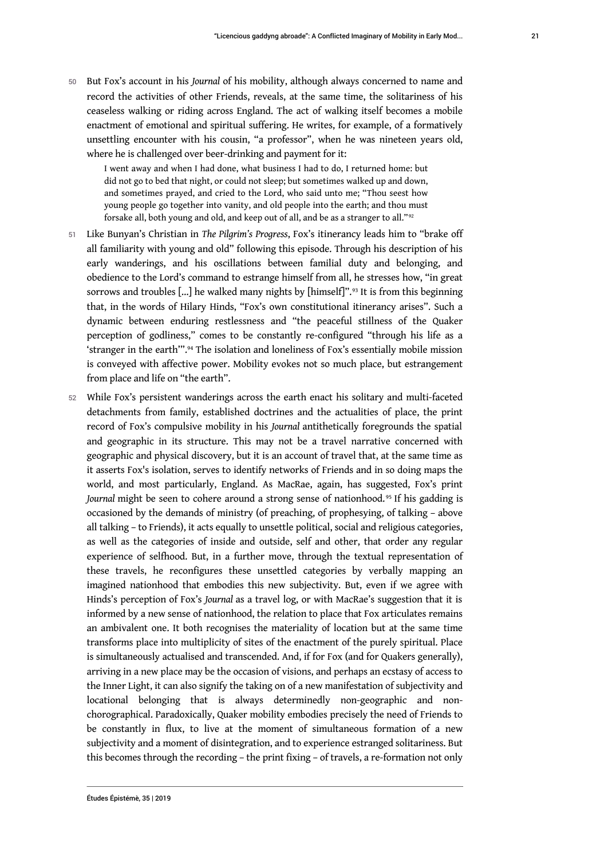<sup>50</sup>But Fox's account in his *Journal* of his mobility, although always concerned to name and record the activities of other Friends, reveals, at the same time, the solitariness of his ceaseless walking or riding across England. The act of walking itself becomes a mobile enactment of emotional and spiritual suffering. He writes, for example, of a formatively unsettling encounter with his cousin, "a professor", when he was nineteen years old, where he is challenged over beer-drinking and payment for it:

I went away and when I had done, what business I had to do, I returned home: but did not go to bed that night, or could not sleep; but sometimes walked up and down, and sometimes prayed, and cried to the Lord, who said unto me; "Thou seest how young people go together into vanity, and old people into the earth; and thou must forsake all, both young and old, and keep out of all, and be as a stranger to all."<sup>92</sup>

- 51 Like Bunyan's Christian in *The Pilgrim's Progress*, Fox's itinerancy leads him to "brake off all familiarity with young and old" following this episode. Through his description of his early wanderings, and his oscillations between familial duty and belonging, and obedience to the Lord's command to estrange himself from all, he stresses how, "in great sorrows and troubles [...] he walked many nights by [himself]".<sup>93</sup> It is from this beginning that, in the words of Hilary Hinds, "Fox's own constitutional itinerancy arises". Such a dynamic between enduring restlessness and "the peaceful stillness of the Quaker perception of godliness," comes to be constantly re-configured "through his life as a 'stranger in the earth'".94 The isolation and loneliness of Fox's essentially mobile mission is conveyed with affective power. Mobility evokes not so much place, but estrangement from place and life on "the earth".
- 52 While Fox's persistent wanderings across the earth enact his solitary and multi-faceted detachments from family, established doctrines and the actualities of place, the print record of Fox's compulsive mobility in his *Journal* antithetically foregrounds the spatial and geographic in its structure. This may not be a travel narrative concerned with geographic and physical discovery, but it is an account of travel that, at the same time as it asserts Fox's isolation, serves to identify networks of Friends and in so doing maps the world, and most particularly, England. As MacRae, again, has suggested, Fox's print Journal might be seen to cohere around a strong sense of nationhood.<sup>95</sup> If his gadding is occasioned by the demands of ministry (of preaching, of prophesying, of talking – above all talking – to Friends), it acts equally to unsettle political, social and religious categories, as well as the categories of inside and outside, self and other, that order any regular experience of selfhood. But, in a further move, through the textual representation of these travels, he reconfigures these unsettled categories by verbally mapping an imagined nationhood that embodies this new subjectivity. But, even if we agree with Hinds's perception of Fox's *Journal* as a travel log, or with MacRae's suggestion that it is informed by a new sense of nationhood, the relation to place that Fox articulates remains an ambivalent one. It both recognises the materiality of location but at the same time transforms place into multiplicity of sites of the enactment of the purely spiritual. Place is simultaneously actualised and transcended. And, if for Fox (and for Quakers generally), arriving in a new place may be the occasion of visions, and perhaps an ecstasy of access to the Inner Light, it can also signify the taking on of a new manifestation of subjectivity and locational belonging that is always determinedly non-geographic and nonchorographical. Paradoxically, Quaker mobility embodies precisely the need of Friends to be constantly in flux, to live at the moment of simultaneous formation of a new subjectivity and a moment of disintegration, and to experience estranged solitariness. But this becomes through the recording – the print fixing – of travels, a re-formation not only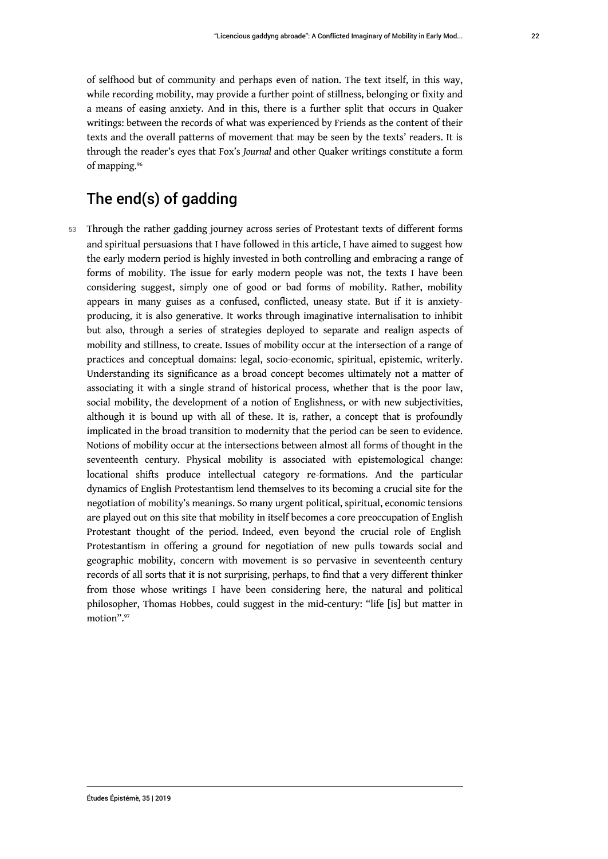of selfhood but of community and perhaps even of nation. The text itself, in this way, while recording mobility, may provide a further point of stillness, belonging or fixity and a means of easing anxiety. And in this, there is a further split that occurs in Quaker writings: between the records of what was experienced by Friends as the content of their texts and the overall patterns of movement that may be seen by the texts' readers. It is through the reader's eyes that Fox's *Journal* and other Quaker writings constitute a form of mapping.<sup>96</sup>

# The end(s) of gadding

53 Through the rather gadding journey across series of Protestant texts of different forms and spiritual persuasions that I have followed in this article, I have aimed to suggest how the early modern period is highly invested in both controlling and embracing a range of forms of mobility. The issue for early modern people was not, the texts I have been considering suggest, simply one of good or bad forms of mobility. Rather, mobility appears in many guises as a confused, conflicted, uneasy state. But if it is anxietyproducing, it is also generative. It works through imaginative internalisation to inhibit but also, through a series of strategies deployed to separate and realign aspects of mobility and stillness, to create. Issues of mobility occur at the intersection of a range of practices and conceptual domains: legal, socio-economic, spiritual, epistemic, writerly. Understanding its significance as a broad concept becomes ultimately not a matter of associating it with a single strand of historical process, whether that is the poor law, social mobility, the development of a notion of Englishness, or with new subjectivities, although it is bound up with all of these. It is, rather, a concept that is profoundly implicated in the broad transition to modernity that the period can be seen to evidence. Notions of mobility occur at the intersections between almost all forms of thought in the seventeenth century. Physical mobility is associated with epistemological change: locational shifts produce intellectual category re-formations. And the particular dynamics of English Protestantism lend themselves to its becoming a crucial site for the negotiation of mobility's meanings. So many urgent political, spiritual, economic tensions are played out on this site that mobility in itself becomes a core preoccupation of English Protestant thought of the period. Indeed, even beyond the crucial role of English Protestantism in offering a ground for negotiation of new pulls towards social and geographic mobility, concern with movement is so pervasive in seventeenth century records of all sorts that it is not surprising, perhaps, to find that a very different thinker from those whose writings I have been considering here, the natural and political philosopher, Thomas Hobbes, could suggest in the mid-century: "life [is] but matter in motion".<sup>97</sup>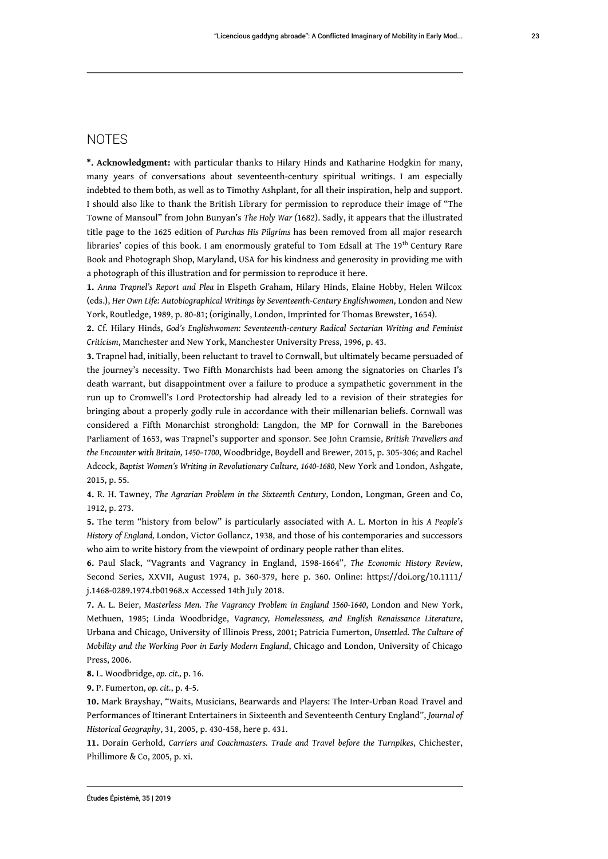### **NOTES**

**\*. Acknowledgment:** with particular thanks to Hilary Hinds and Katharine Hodgkin for many, many years of conversations about seventeenth-century spiritual writings. I am especially indebted to them both, as well as to Timothy Ashplant, for all their inspiration, help and support. I should also like to thank the British Library for permission to reproduce their image of "The Towne of Mansoul" from John Bunyan's *The Holy War (*1682). Sadly, it appears that the illustrated title page to the 1625 edition of *Purchas His Pilgrims* has been removed from all major research libraries' copies of this book. I am enormously grateful to Tom Edsall at The 19<sup>th</sup> Century Rare Book and Photograph Shop, Maryland, USA for his kindness and generosity in providing me with a photograph of this illustration and for permission to reproduce it here.

**1.** *Anna Trapnel's Report and Plea* in Elspeth Graham, Hilary Hinds, Elaine Hobby, Helen Wilcox (eds.), *Her Own Life: Autobiographical Writings by Seventeenth-Century Englishwomen*, London and New York, Routledge, 1989, p. 80-81; (originally, London, Imprinted for Thomas Brewster, 1654).

**2.** Cf. Hilary Hinds, *God's Englishwomen: Seventeenth-century Radical Sectarian Writing and Feminist Criticism*, Manchester and New York, Manchester University Press, 1996, p. 43.

**3.** Trapnel had, initially, been reluctant to travel to Cornwall, but ultimately became persuaded of the journey's necessity. Two Fifth Monarchists had been among the signatories on Charles I's death warrant, but disappointment over a failure to produce a sympathetic government in the run up to Cromwell's Lord Protectorship had already led to a revision of their strategies for bringing about a properly godly rule in accordance with their millenarian beliefs. Cornwall was considered a Fifth Monarchist stronghold: Langdon, the MP for Cornwall in the Barebones Parliament of 1653, was Trapnel's supporter and sponsor. See John Cramsie, *British Travellers and the Encounter with Britain, 1450–1700*, Woodbridge, Boydell and Brewer, 2015, p. 305-306; and Rachel Adcock, *Baptist Women's Writing in Revolutionary Culture, 1640-1680,* New York and London, Ashgate, 2015, p. 55.

**4.** R. H. Tawney, *The Agrarian Problem in the Sixteenth Century*, London, Longman, Green and Co, 1912, p. 273.

**5.** The term "history from below" is particularly associated with A. L. Morton in his *A People's History of England,* London, Victor Gollancz, 1938, and those of his contemporaries and successors who aim to write history from the viewpoint of ordinary people rather than elites.

**6.** Paul Slack, "Vagrants and Vagrancy in England, 1598-1664", *The Economic History Review*, Second Series, XXVII, August 1974, p. 360-379, here p. 360. Online: https://doi.org/10.1111/ j.1468-0289.1974.tb01968.x Accessed 14th July 2018.

**7.** A. L. Beier, *Masterless Men. The Vagrancy Problem in England 1560-1640*, London and New York, Methuen, 1985; Linda Woodbridge, *Vagrancy, Homelessness, and English Renaissance Literature*, Urbana and Chicago, University of Illinois Press, 2001; Patricia Fumerton, *Unsettled. The Culture of Mobility and the Working Poor in Early Modern England*, Chicago and London, University of Chicago Press, 2006.

**8.** L. Woodbridge, *op. cit.,* p. 16.

**9.** P. Fumerton, *op. cit.*, p. 4-5.

**10.** Mark Brayshay, "Waits, Musicians, Bearwards and Players: The Inter-Urban Road Travel and Performances of Itinerant Entertainers in Sixteenth and Seventeenth Century England", *Journal of Historical Geography*, 31, 2005, p. 430-458, here p. 431.

**11.** Dorain Gerhold, *Carriers and Coachmasters. Trade and Travel before the Turnpikes*, Chichester, Phillimore & Co, 2005, p. xi.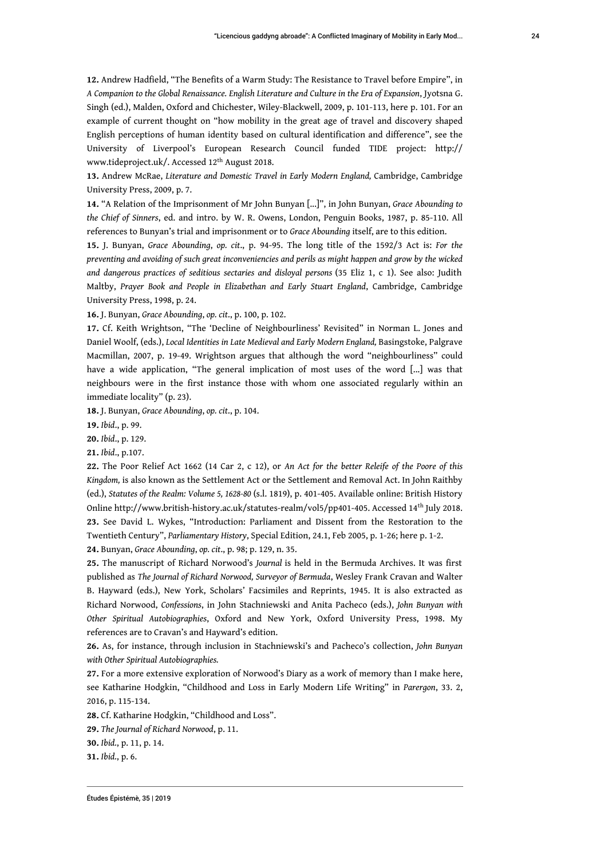**12.** Andrew Hadfield, "The Benefits of a Warm Study: The Resistance to Travel before Empire", in *A Companion to the Global Renaissance. English Literature and Culture in the Era of Expansion*, Jyotsna G. Singh (ed.), Malden, Oxford and Chichester, Wiley-Blackwell, 2009, p. 101-113, here p. 101. For an example of current thought on "how mobility in the great age of travel and discovery shaped English perceptions of human identity based on cultural identification and difference", see the University of Liverpool's European Research Council funded TIDE project: http:// www.tideproject.uk/. Accessed 12th August 2018.

**13.** Andrew McRae, *Literature and Domestic Travel in Early Modern England,* Cambridge, Cambridge University Press, 2009, p. 7.

**14.** "A Relation of the Imprisonment of Mr John Bunyan [...]", in John Bunyan, *Grace Abounding to the Chief of Sinners*, ed. and intro. by W. R. Owens, London, Penguin Books, 1987, p. 85-110. All references to Bunyan's trial and imprisonment or to *Grace Abounding* itself, are to this edition.

**15.** J. Bunyan, *Grace Abounding*, *op. cit*., p. 94-95. The long title of the 1592/3 Act is: *For the preventing and avoiding of such great inconveniencies and perils as might happen and grow by the wicked and dangerous practices of seditious sectaries and disloyal persons* (35 Eliz 1, c 1). See also: Judith Maltby, *Prayer Book and People in Elizabethan and Early Stuart England*, Cambridge, Cambridge University Press, 1998, p. 24.

**16.** J. Bunyan, *Grace Abounding*, *op. cit*., p. 100, p. 102.

**17.** Cf. Keith Wrightson, "The 'Decline of Neighbourliness' Revisited" in Norman L. Jones and Daniel Woolf, (eds.), *Local Identities in Late Medieval and Early Modern England,* Basingstoke, Palgrave Macmillan, 2007, p. 19-49. Wrightson argues that although the word "neighbourliness" could have a wide application, "The general implication of most uses of the word [...] was that neighbours were in the first instance those with whom one associated regularly within an immediate locality" (p. 23).

**18.** J. Bunyan, *Grace Abounding*, *op. cit*., p. 104.

**19.** *Ibid*., p. 99.

**20.** *Ibid*., p. 129.

**21.** *Ibid*., p.107.

**22.** The Poor Relief Act 1662 (14 Car 2, c 12), or *An Act for the better Releife of the Poore of this Kingdom,* is also known as the Settlement Act or the Settlement and Removal Act. In John Raithby (ed.), *Statutes of the Realm: Volume 5, 1628-80* (s.l. 1819), p. 401-405. Available online: British History Online http://www.british-history.ac.uk/statutes-realm/vol5/pp401-405. Accessed 14th July 2018. **23.** See David L. Wykes, "Introduction: Parliament and Dissent from the Restoration to the Twentieth Century", *Parliamentary History*, Special Edition, 24.1, Feb 2005, p. 1-26; here p. 1-2.

**24.** Bunyan, *Grace Abounding*, *op. cit*., p. 98; p. 129, n. 35.

**25.** The manuscript of Richard Norwood's *Journal* is held in the Bermuda Archives. It was first published as *The Journal of Richard Norwood, Surveyor of Bermuda*, Wesley Frank Cravan and Walter B. Hayward (eds.), New York, Scholars' Facsimiles and Reprints, 1945. It is also extracted as Richard Norwood, *Confessions*, in John Stachniewski and Anita Pacheco (eds.), *John Bunyan with Other Spiritual Autobiographies*, Oxford and New York, Oxford University Press, 1998. My references are to Cravan's and Hayward's edition.

**26.** As, for instance, through inclusion in Stachniewski's and Pacheco's collection, *John Bunyan with Other Spiritual Autobiographies.*

**27.** For a more extensive exploration of Norwood's Diary as a work of memory than I make here, see Katharine Hodgkin, "Childhood and Loss in Early Modern Life Writing" in *Parergon*, 33. 2, 2016, p. 115-134.

**28.** Cf. Katharine Hodgkin, "Childhood and Loss".

**29.** *The Journal of Richard Norwood*, p. 11.

**30.** *Ibid.*, p. 11, p. 14.

**31.** *Ibid.*, p. 6.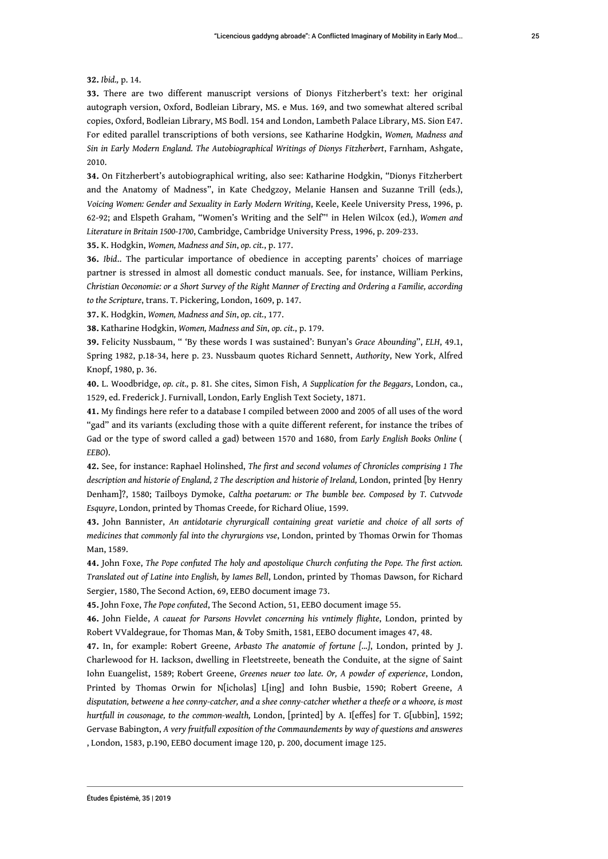#### **32.** *Ibid.,* p. 14.

**33.** There are two different manuscript versions of Dionys Fitzherbert's text: her original autograph version, Oxford, Bodleian Library, MS. e Mus. 169, and two somewhat altered scribal copies, Oxford, Bodleian Library, MS Bodl. 154 and London, Lambeth Palace Library, MS. Sion E47. For edited parallel transcriptions of both versions, see Katharine Hodgkin, *Women, Madness and Sin in Early Modern England. The Autobiographical Writings of Dionys Fitzherbert*, Farnham, Ashgate, 2010.

**34.** On Fitzherbert's autobiographical writing, also see: Katharine Hodgkin, "Dionys Fitzherbert and the Anatomy of Madness", in Kate Chedgzoy, Melanie Hansen and Suzanne Trill (eds.), *Voicing Women: Gender and Sexuality in Early Modern Writing*, Keele, Keele University Press, 1996, p. 62-92; and Elspeth Graham, "Women's Writing and the Self"' in Helen Wilcox (ed.), *Women and Literature in Britain 1500-1700*, Cambridge, Cambridge University Press, 1996, p. 209-233.

**35.** K. Hodgkin, *Women, Madness and Sin*, *op. cit.*, p. 177.

**36.** *Ibid*.. The particular importance of obedience in accepting parents' choices of marriage partner is stressed in almost all domestic conduct manuals. See, for instance, William Perkins, *Christian Oeconomie: or a Short Survey of the Right Manner of Erecting and Ordering a Familie, according to the Scripture*, trans. T. Pickering, London, 1609, p. 147.

**37.** K. Hodgkin, *Women, Madness and Sin*, *op. cit.*, 177.

**38.** Katharine Hodgkin, *Women, Madness and Sin*, *op. cit.*, p. 179.

**39.** Felicity Nussbaum, " 'By these words I was sustained': Bunyan's *Grace Abounding*", *ELH*, 49.1, Spring 1982, p.18-34, here p. 23. Nussbaum quotes Richard Sennett, *Authority*, New York, Alfred Knopf, 1980, p. 36.

**40.** L. Woodbridge, *op. cit.,* p. 81. She cites, Simon Fish, *A Supplication for the Beggars*, London, ca., 1529, ed. Frederick J. Furnivall, London, Early English Text Society, 1871.

**41.** My findings here refer to a database I compiled between 2000 and 2005 of all uses of the word "gad" and its variants (excluding those with a quite different referent, for instance the tribes of Gad or the type of sword called a gad) between 1570 and 1680, from *Early English Books Online* ( *EEBO*).

**42.** See, for instance: Raphael Holinshed, *The first and second volumes of Chronicles comprising 1 The description and historie of England, 2 The description and historie of Ireland,* London, printed [by Henry Denham]?, 1580; Tailboys Dymoke, *Caltha poetarum: or The bumble bee. Composed by T. Cutvvode Esquyre*, London, printed by Thomas Creede, for Richard Oliue, 1599.

**43.** John Bannister, *An antidotarie chyrurgicall containing great varietie and choice of all sorts of medicines that commonly fal into the chyrurgions vse*, London, printed by Thomas Orwin for Thomas Man, 1589.

**44.** John Foxe, *The Pope confuted The holy and apostolique Church confuting the Pope. The first action. Translated out of Latine into English, by Iames Bell*, London, printed by Thomas Dawson, for Richard Sergier, 1580, The Second Action, 69, EEBO document image 73.

**45.** John Foxe, *The Pope confuted*, The Second Action, 51, EEBO document image 55.

**46.** John Fielde, *A caueat for Parsons Hovvlet concerning his vntimely flighte*, London, printed by Robert VValdegraue, for Thomas Man, & Toby Smith, 1581, EEBO document images 47, 48.

**47.** In, for example: Robert Greene, *Arbasto The anatomie of fortune [...]*, London, printed by J. Charlewood for H. Iackson, dwelling in Fleetstreete, beneath the Conduite, at the signe of Saint Iohn Euangelist, 1589; Robert Greene, *Greenes neuer too late. Or, A powder of experience*, London, Printed by Thomas Orwin for N[icholas] L[ing] and Iohn Busbie, 1590; Robert Greene, *A disputation, betweene a hee conny-catcher, and a shee conny-catcher whether a theefe or a whoore, is most hurtfull in cousonage, to the common-wealth,* London, [printed] by A. I[effes] for T. G[ubbin], 1592; Gervase Babington, *A very fruitfull exposition of the Commaundements by way of questions and answeres* , London, 1583, p.190, EEBO document image 120, p. 200, document image 125.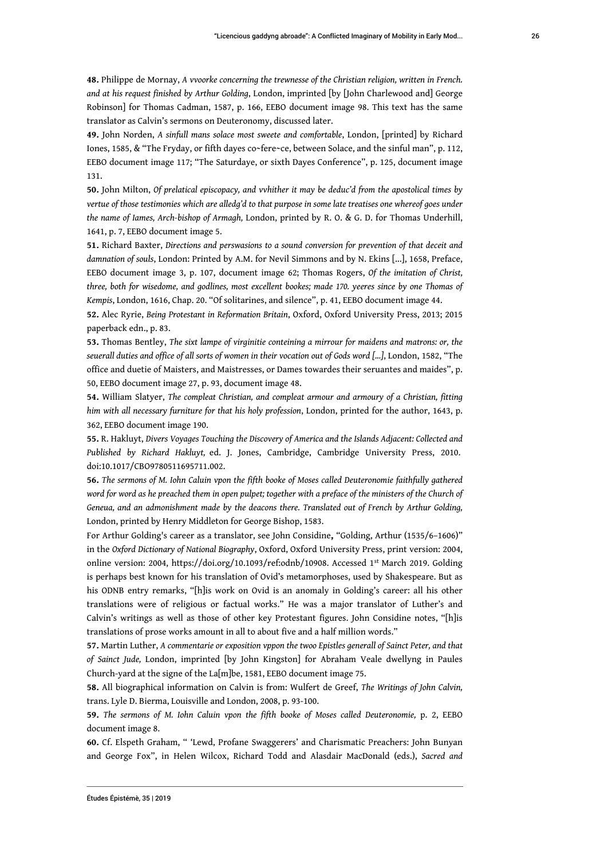**48.** Philippe de Mornay, *A vvoorke concerning the trewnesse of the Christian religion, written in French. and at his request finished by Arthur Golding*, London, imprinted [by [John Charlewood and] George Robinson] for Thomas Cadman, 1587, p. 166, EEBO document image 98. This text has the same translator as Calvin's sermons on Deuteronomy, discussed later.

**49.** John Norden, *A sinfull mans solace most sweete and comfortable*, London, [printed] by Richard Iones, 1585, & "The Fryday, or fifth dayes co~fere~ce, between Solace, and the sinful man", p. 112, EEBO document image 117; "The Saturdaye, or sixth Dayes Conference", p. 125, document image 131.

**50.** John Milton, *Of prelatical episcopacy, and vvhither it may be deduc'd from the apostolical times by vertue of those testimonies which are alledg'd to that purpose in some late treatises one whereof goes under the name of Iames, Arch-bishop of Armagh,* London, printed by R. O. & G. D. for Thomas Underhill, 1641, p. 7, EEBO document image 5.

**51.** Richard Baxter, *Directions and perswasions to a sound conversion for prevention of that deceit and damnation of souls*, London: Printed by A.M. for Nevil Simmons and by N. Ekins [...], 1658, Preface, EEBO document image 3, p. 107, document image 62; Thomas Rogers, *Of the imitation of Christ, three, both for wisedome, and godlines, most excellent bookes; made 170. yeeres since by one Thomas of Kempis*, London, 1616, Chap. 20. "Of solitarines, and silence", p. 41, EEBO document image 44.

**52.** Alec Ryrie, *Being Protestant in Reformation Britain*, Oxford, Oxford University Press, 2013; 2015 paperback edn., p. 83.

**53.** Thomas Bentley, *The sixt lampe of virginitie conteining a mirrour for maidens and matrons: or, the seuerall duties and office of all sorts of women in their vocation out of Gods word [...]*, London, 1582, "The office and duetie of Maisters, and Maistresses, or Dames towardes their seruantes and maides", p. 50, EEBO document image 27, p. 93, document image 48.

**54.** William Slatyer, *The compleat Christian, and compleat armour and armoury of a Christian, fitting him with all necessary furniture for that his holy profession*, London, printed for the author, 1643, p. 362, EEBO document image 190.

**55.** R. Hakluyt, *Divers Voyages Touching the Discovery of America and the Islands Adjacent: Collected and Published by Richard Hakluyt,* ed. J. Jones, Cambridge, Cambridge University Press, 2010. doi:10.1017/CBO9780511695711.002.

**56.** *The sermons of M. Iohn Caluin vpon the fifth booke of Moses called Deuteronomie faithfully gathered word for word as he preached them in open pulpet; together with a preface of the ministers of the Church of Geneua, and an admonishment made by the deacons there. Translated out of French by Arthur Golding,* London, printed by Henry Middleton for George Bishop, 1583.

For Arthur Golding's career as a translator, see John Considine**,** "Golding, Arthur (1535/6–1606)" in the *Oxford Dictionary of National Biography*, Oxford, Oxford University Press, print version: 2004, online version: 2004, https://doi.org/10.1093/ref:odnb/10908. Accessed 1st March 2019. Golding is perhaps best known for his translation of Ovid's metamorphoses, used by Shakespeare. But as his ODNB entry remarks, "[h]is work on Ovid is an anomaly in Golding's career: all his other translations were of religious or factual works." He was a major translator of Luther's and Calvin's writings as well as those of other key Protestant figures. John Considine notes, "[h]is translations of prose works amount in all to about five and a half million words."

**57.** Martin Luther, *A commentarie or exposition vppon the twoo Epistles generall of Sainct Peter, and that of Sainct Jude,* London, imprinted [by John Kingston] for Abraham Veale dwellyng in Paules Church-yard at the signe of the La[m]be, 1581, EEBO document image 75.

**58.** All biographical information on Calvin is from: Wulfert de Greef, *The Writings of John Calvin,* trans. Lyle D. Bierma, Louisville and London, 2008, p. 93-100.

**59.** *The sermons of M. Iohn Caluin vpon the fifth booke of Moses called Deuteronomie,* p. 2, EEBO document image 8.

**60.** Cf. Elspeth Graham, " 'Lewd, Profane Swaggerers' and Charismatic Preachers: John Bunyan and George Fox", in Helen Wilcox, Richard Todd and Alasdair MacDonald (eds.), *Sacred and*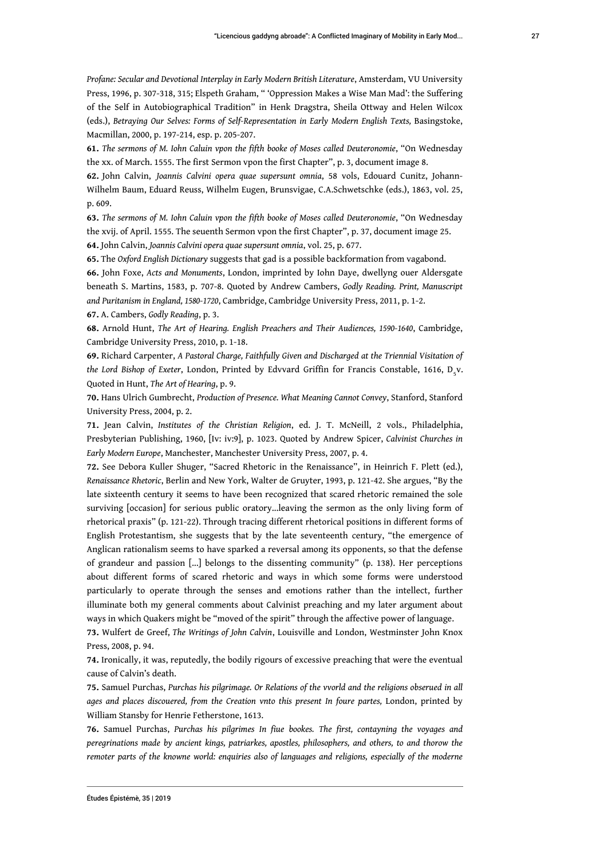*Profane: Secular and Devotional Interplay in Early Modern British Literature*, Amsterdam, VU University Press, 1996, p. 307-318, 315; Elspeth Graham, " 'Oppression Makes a Wise Man Mad': the Suffering of the Self in Autobiographical Tradition" in Henk Dragstra, Sheila Ottway and Helen Wilcox (eds.), Betraying Our Selves: Forms of Self-Representation in Early Modern English Texts, Basingstoke, Macmillan, 2000, p. 197-214, esp. p. 205-207.

**61.** *The sermons of M. Iohn Caluin vpon the fifth booke of Moses called Deuteronomie*, "On Wednesday the xx. of March. 1555. The first Sermon vpon the first Chapter", p. 3, document image 8.

**62.** John Calvin, *Joannis Calvini opera quae supersunt omnia*, 58 vols, Edouard Cunitz, Johann-Wilhelm Baum, Eduard Reuss, Wilhelm Eugen, Brunsvigae, C.A.Schwetschke (eds.), 1863, vol. 25, p. 609.

**63.** *The sermons of M. Iohn Caluin vpon the fifth booke of Moses called Deuteronomie*, "On Wednesday the xvij. of April. 1555. The seuenth Sermon vpon the first Chapter", p. 37, document image 25. **64.** John Calvin, *Joannis Calvini opera quae supersunt omnia*, vol. 25, p. 677.

**65.** The *Oxford English Dictionary* suggests that gad is a possible backformation from vagabond.

**66.** John Foxe, *Acts and Monuments*, London, imprinted by Iohn Daye, dwellyng ouer Aldersgate beneath S. Martins, 1583, p. 707-8. Quoted by Andrew Cambers, *Godly Reading. Print, Manuscript and Puritanism in England, 1580-1720*, Cambridge, Cambridge University Press, 2011, p. 1-2.

**67.** A. Cambers, *Godly Reading*, p. 3.

**68.** Arnold Hunt, *The Art of Hearing. English Preachers and Their Audiences, 1590-1640*, Cambridge, Cambridge University Press, 2010, p. 1-18.

**69.** Richard Carpenter, *A Pastoral Charge, Faithfully Given and Discharged at the Triennial Visitation of* the Lord Bishop of Exeter, London, Printed by Edvvard Griffin for Francis Constable, 1616, D<sub>5</sub>v. Quoted in Hunt, *The Art of Hearing*, p. 9.

**70.** Hans Ulrich Gumbrecht, *Production of Presence. What Meaning Cannot Convey*, Stanford, Stanford University Press, 2004, p. 2.

**71.** Jean Calvin, *Institutes of the Christian Religion*, ed. J. T. McNeill, 2 vols., Philadelphia, Presbyterian Publishing, 1960, [Iv: iv:9], p. 1023. Quoted by Andrew Spicer, *Calvinist Churches in Early Modern Europe*, Manchester, Manchester University Press, 2007, p. 4.

**72.** See Debora Kuller Shuger, "Sacred Rhetoric in the Renaissance", in Heinrich F. Plett (ed.), *Renaissance Rhetoric*, Berlin and New York, Walter de Gruyter, 1993, p. 121-42. She argues, "By the late sixteenth century it seems to have been recognized that scared rhetoric remained the sole surviving [occasion] for serious public oratory...leaving the sermon as the only living form of rhetorical praxis" (p. 121-22). Through tracing different rhetorical positions in different forms of English Protestantism, she suggests that by the late seventeenth century, "the emergence of Anglican rationalism seems to have sparked a reversal among its opponents, so that the defense of grandeur and passion [...] belongs to the dissenting community" (p. 138). Her perceptions about different forms of scared rhetoric and ways in which some forms were understood particularly to operate through the senses and emotions rather than the intellect, further illuminate both my general comments about Calvinist preaching and my later argument about ways in which Quakers might be "moved of the spirit" through the affective power of language.

**73.** Wulfert de Greef, *The Writings of John Calvin*, Louisville and London, Westminster John Knox Press, 2008, p. 94.

**74.** Ironically, it was, reputedly, the bodily rigours of excessive preaching that were the eventual cause of Calvin's death.

**75.** Samuel Purchas, *Purchas his pilgrimage. Or Relations of the vvorld and the religions obserued in all* ages and places discouered, from the Creation vnto this present In foure partes, London, printed by William Stansby for Henrie Fetherstone, 1613.

**76.** Samuel Purchas, *Purchas his pilgrimes In fiue bookes. The first, contayning the voyages and peregrinations made by ancient kings, patriarkes, apostles, philosophers, and others, to and thorow the remoter parts of the knowne world: enquiries also of languages and religions, especially of the moderne*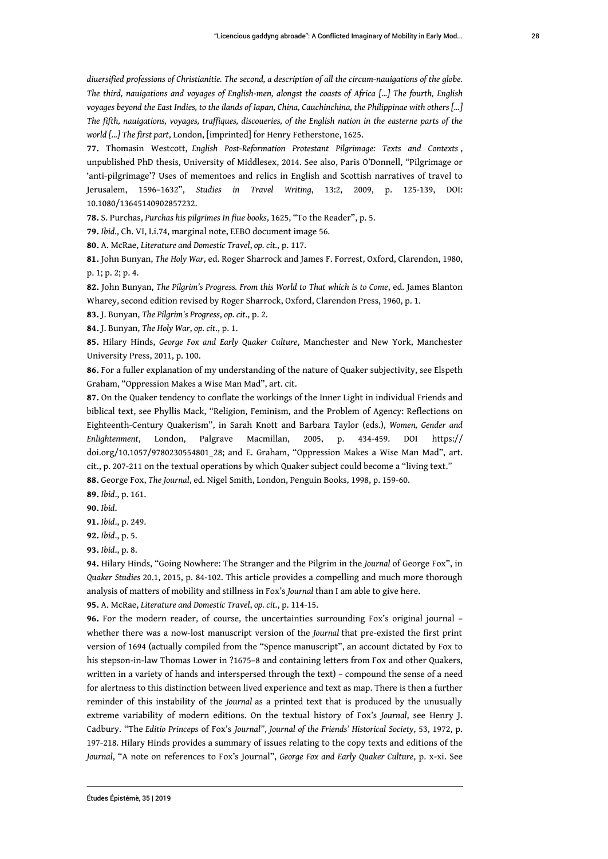*diuersified professions of Christianitie. The second, a description of all the circum-nauigations of the globe. The third, nauigations and voyages of English-men, alongst the coasts of Africa [...] The fourth, English voyages beyond the East Indies, to the ilands of Iapan, China, Cauchinchina, the Philippinae with others [...] The fifth, nauigations, voyages, traffiques, discoueries, of the English nation in the easterne parts of the world [...] The first part*, London, [imprinted] for Henry Fetherstone, 1625.

**77.** Thomasin Westcott, *English Post-Reformation Protestant Pilgrimage: Texts and Contexts* , unpublished PhD thesis, University of Middlesex, 2014. See also, Paris O'Donnell, "Pilgrimage or 'anti-pilgrimage'? Uses of mementoes and relics in English and Scottish narratives of travel to Jerusalem, 1596–1632", *Studies in Travel Writing*, 13:2, 2009, p. 125-139, DOI: 10.1080/13645140902857232.

**78.** S. Purchas, *Purchas his pilgrimes In fiue books*, 1625, "To the Reader", p. 5.

**79.** *Ibid.*, Ch. VI, I.i.74, marginal note, EEBO document image 56.

**80.** A. McRae, *Literature and Domestic Travel*, *op. cit.*, p. 117.

**81.** John Bunyan, *The Holy War*, ed. Roger Sharrock and James F. Forrest, Oxford, Clarendon, 1980, p. 1; p. 2; p. 4.

**82.** John Bunyan, *The Pilgrim's Progress. From this World to That which is to Come*, ed. James Blanton Wharey, second edition revised by Roger Sharrock, Oxford, Clarendon Press, 1960, p. 1.

**83.** J. Bunyan, *The Pilgrim's Progress*, *op. cit*., p. 2.

**84.** J. Bunyan, *The Holy War*, *op. cit*., p. 1.

**85.** Hilary Hinds, *George Fox and Early Quaker Culture*, Manchester and New York, Manchester University Press, 2011, p. 100.

**86.** For a fuller explanation of my understanding of the nature of Quaker subjectivity, see Elspeth Graham, "Oppression Makes a Wise Man Mad", art. cit.

**87.** On the Quaker tendency to conflate the workings of the Inner Light in individual Friends and biblical text, see Phyllis Mack, "Religion, Feminism, and the Problem of Agency: Reflections on Eighteenth-Century Quakerism", in Sarah Knott and Barbara Taylor (eds.), *Women, Gender and Enlightenment*, London, Palgrave Macmillan, 2005, p. 434-459. DOI https:// doi.org/10.1057/9780230554801\_28; and E. Graham, "Oppression Makes a Wise Man Mad", art. cit., p. 207-211 on the textual operations by which Quaker subject could become a "living text."

**88.** George Fox, *The Journal*, ed. Nigel Smith, London, Penguin Books, 1998, p. 159-60.

**89.** *Ibid*., p. 161.

**90.** *Ibid*.

**91.** *Ibid*., p. 249.

**92.** *Ibid*., p. 5.

**93.** *Ibid*., p. 8.

**94.** Hilary Hinds, "Going Nowhere: The Stranger and the Pilgrim in the *Journal* of George Fox", in *Quaker Studies* 20.1, 2015, p. 84-102. This article provides a compelling and much more thorough analysis of matters of mobility and stillness in Fox's *Journal* than I am able to give here.

**95.** A. McRae, *Literature and Domestic Travel*, *op. cit.*, p. 114-15.

**96.** For the modern reader, of course, the uncertainties surrounding Fox's original journal – whether there was a now-lost manuscript version of the *Journal* that pre-existed the first print version of 1694 (actually compiled from the "Spence manuscript", an account dictated by Fox to his stepson-in-law Thomas Lower in ?1675–8 and containing letters from Fox and other Quakers, written in a variety of hands and interspersed through the text) – compound the sense of a need for alertness to this distinction between lived experience and text as map. There is then a further reminder of this instability of the *Journal* as a printed text that is produced by the unusually extreme variability of modern editions. On the textual history of Fox's *Journal*, see Henry J. Cadbury. "The *Editio Princeps* of Fox's *Journal"*, *Journal of the Friends' Historical Society*, 53, 1972, p. 197-218. Hilary Hinds provides a summary of issues relating to the copy texts and editions of the *Journal*, "A note on references to Fox's Journal", *George Fox and Early Quaker Culture*, p. x-xi. See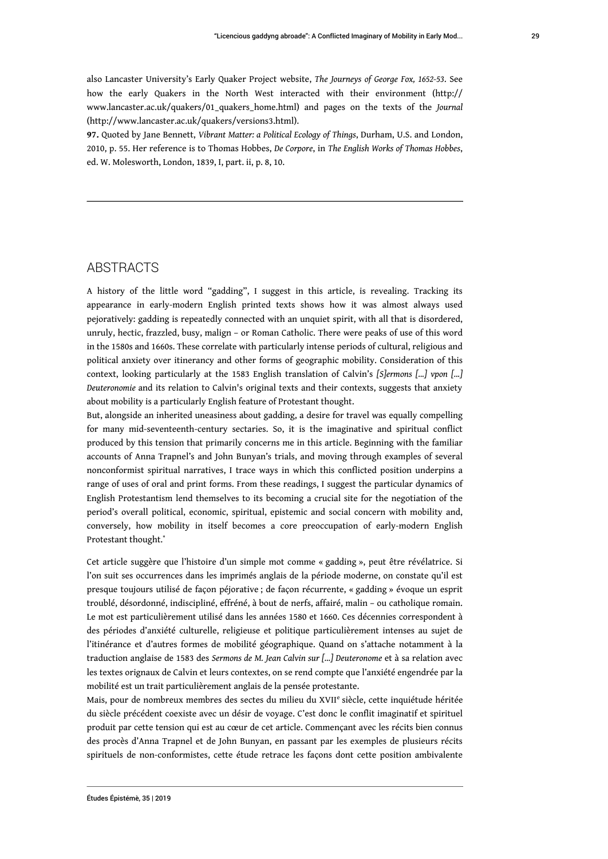also Lancaster University's Early Quaker Project website, *The Journeys of George Fox, 1652-53*. See how the early Quakers in the North West interacted with their environment (http:// www.lancaster.ac.uk/quakers/01\_quakers\_home.html) and pages on the texts of the *Journal* (http://www.lancaster.ac.uk/quakers/versions3.html).

**97.** Quoted by Jane Bennett, *Vibrant Matter: a Political Ecology of Things*, Durham, U.S. and London, 2010, p. 55. Her reference is to Thomas Hobbes, *De Corpore*, in *The English Works of Thomas Hobbes*, ed. W. Molesworth, London, 1839, I, part. ii, p. 8, 10.

### ABSTRACTS

A history of the little word "gadding", I suggest in this article, is revealing. Tracking its appearance in early-modern English printed texts shows how it was almost always used pejoratively: gadding is repeatedly connected with an unquiet spirit, with all that is disordered, unruly, hectic, frazzled, busy, malign – or Roman Catholic. There were peaks of use of this word in the 1580s and 1660s. These correlate with particularly intense periods of cultural, religious and political anxiety over itinerancy and other forms of geographic mobility. Consideration of this context, looking particularly at the 1583 English translation of Calvin's *[S]ermons [...] vpon [...] Deuteronomie* and its relation to Calvin's original texts and their contexts, suggests that anxiety about mobility is a particularly English feature of Protestant thought.

But, alongside an inherited uneasiness about gadding, a desire for travel was equally compelling for many mid-seventeenth-century sectaries. So, it is the imaginative and spiritual conflict produced by this tension that primarily concerns me in this article. Beginning with the familiar accounts of Anna Trapnel's and John Bunyan's trials, and moving through examples of several nonconformist spiritual narratives, I trace ways in which this conflicted position underpins a range of uses of oral and print forms. From these readings, I suggest the particular dynamics of English Protestantism lend themselves to its becoming a crucial site for the negotiation of the period's overall political, economic, spiritual, epistemic and social concern with mobility and, conversely, how mobility in itself becomes a core preoccupation of early-modern English Protestant thought.\*

Cet article suggère que l'histoire d'un simple mot comme « gadding », peut être révélatrice. Si l'on suit ses occurrences dans les imprimés anglais de la période moderne, on constate qu'il est presque toujours utilisé de façon péjorative ; de façon récurrente, « gadding » évoque un esprit troublé, désordonné, indiscipliné, effréné, à bout de nerfs, affairé, malin – ou catholique romain. Le mot est particulièrement utilisé dans les années 1580 et 1660. Ces décennies correspondent à des périodes d'anxiété culturelle, religieuse et politique particulièrement intenses au sujet de l'itinérance et d'autres formes de mobilité géographique. Quand on s'attache notamment à la traduction anglaise de 1583 des *Sermons de M. Jean Calvin sur […] Deuteronome* et à sa relation avec les textes orignaux de Calvin et leurs contextes, on se rend compte que l'anxiété engendrée par la mobilité est un trait particulièrement anglais de la pensée protestante.

Mais, pour de nombreux membres des sectes du milieu du XVII<sup>e</sup> siècle, cette inquiétude héritée du siècle précédent coexiste avec un désir de voyage. C'est donc le conflit imaginatif et spirituel produit par cette tension qui est au cœur de cet article. Commençant avec les récits bien connus des procès d'Anna Trapnel et de John Bunyan, en passant par les exemples de plusieurs récits spirituels de non-conformistes, cette étude retrace les façons dont cette position ambivalente